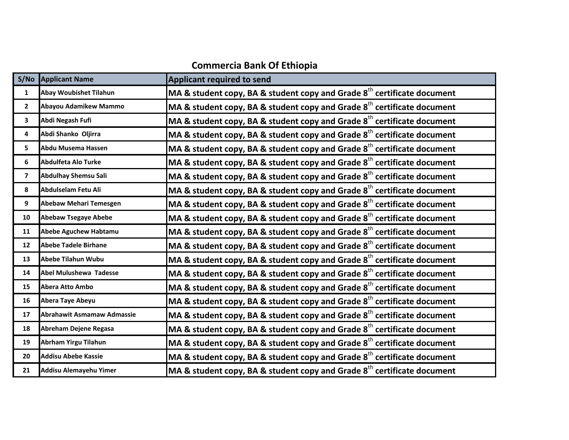## **Commercia Bank Of Ethiopia**

| S/NO                    | <b>Applicant Name</b>             | Applicant required to send                                                          |
|-------------------------|-----------------------------------|-------------------------------------------------------------------------------------|
| 1                       | Abay Woubishet Tilahun            | MA & student copy, BA & student copy and Grade $8^{\text{th}}$ certificate document |
| $\mathbf{2}$            | Abayou Adamikew Mammo             | MA & student copy, BA & student copy and Grade $8th$ certificate document           |
| 3                       | Abdi Negash Fufi                  | MA & student copy, BA & student copy and Grade $8th$ certificate document           |
| 4                       | Abdi Shanko Oljirra               | MA & student copy, BA & student copy and Grade $8th$ certificate document           |
| 5                       | Abdu Musema Hassen                | MA & student copy, BA & student copy and Grade $8th$ certificate document           |
| 6                       | <b>Abdulfeta Alo Turke</b>        | MA & student copy, BA & student copy and Grade $8th$ certificate document           |
| $\overline{\mathbf{z}}$ | <b>Abdulhay Shemsu Sali</b>       | MA & student copy, BA & student copy and Grade $8^{\text{th}}$ certificate document |
| 8                       | Abdulselam Fetu Ali               | MA & student copy, BA & student copy and Grade $8th$ certificate document           |
| 9                       | Abebaw Mehari Temesgen            | MA & student copy, BA & student copy and Grade $8^{\text{th}}$ certificate document |
| 10                      | <b>Abebaw Tsegaye Abebe</b>       | MA & student copy, BA & student copy and Grade $8th$ certificate document           |
| 11                      | <b>Abebe Aguchew Habtamu</b>      | MA & student copy, BA & student copy and Grade $8th$ certificate document           |
| 12                      | <b>Abebe Tadele Birhane</b>       | MA & student copy, BA & student copy and Grade $8th$ certificate document           |
| 13                      | <b>Abebe Tilahun Wubu</b>         | MA & student copy, BA & student copy and Grade $8th$ certificate document           |
| 14                      | Abel Mulushewa Tadesse            | MA & student copy, BA & student copy and Grade $8th$ certificate document           |
| 15                      | <b>Abera Atto Ambo</b>            | MA & student copy, BA & student copy and Grade $8th$ certificate document           |
| 16                      | Abera Taye Abeyu                  | MA & student copy, BA & student copy and Grade $8th$ certificate document           |
| 17                      | <b>Abrahawit Asmamaw Admassie</b> | MA & student copy, BA & student copy and Grade $8th$ certificate document           |
| 18                      | Abreham Dejene Regasa             | MA & student copy, BA & student copy and Grade $8th$ certificate document           |
| 19                      | Abrham Yirgu Tilahun              | MA & student copy, BA & student copy and Grade $8th$ certificate document           |
| 20                      | <b>Addisu Abebe Kassie</b>        | MA & student copy, BA & student copy and Grade $8th$ certificate document           |
| 21                      | Addisu Alemayehu Yimer            | MA & student copy, BA & student copy and Grade $8^{\text{th}}$ certificate document |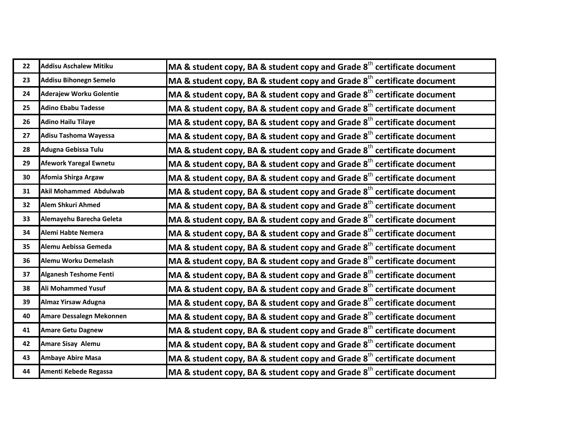| 22 | <b>Addisu Aschalew Mitiku</b>  | MA & student copy, BA & student copy and Grade 8 <sup>th</sup> certificate document |
|----|--------------------------------|-------------------------------------------------------------------------------------|
| 23 | <b>Addisu Bihonegn Semelo</b>  | MA & student copy, BA & student copy and Grade $8th$ certificate document           |
| 24 | <b>Aderajew Worku Golentie</b> | MA & student copy, BA & student copy and Grade 8 <sup>th</sup> certificate document |
| 25 | <b>Adino Ebabu Tadesse</b>     | MA & student copy, BA & student copy and Grade $8th$ certificate document           |
| 26 | <b>Adino Hailu Tilaye</b>      | MA & student copy, BA & student copy and Grade $8th$ certificate document           |
| 27 | Adisu Tashoma Wayessa          | MA & student copy, BA & student copy and Grade 8 <sup>th</sup> certificate document |
| 28 | Adugna Gebissa Tulu            | MA & student copy, BA & student copy and Grade $8th$ certificate document           |
| 29 | <b>Afework Yaregal Ewnetu</b>  | MA & student copy, BA & student copy and Grade $8^{th}$ certificate document        |
| 30 | Afomia Shirga Argaw            | MA & student copy, BA & student copy and Grade $8th$ certificate document           |
| 31 | <b>Akil Mohammed Abdulwab</b>  | MA & student copy, BA & student copy and Grade $8th$ certificate document           |
| 32 | Alem Shkuri Ahmed              | MA & student copy, BA & student copy and Grade 8 <sup>th</sup> certificate document |
| 33 | Alemayehu Barecha Geleta       | MA & student copy, BA & student copy and Grade $8th$ certificate document           |
| 34 | Alemi Habte Nemera             | MA & student copy, BA & student copy and Grade $8th$ certificate document           |
| 35 | Alemu Aebissa Gemeda           | MA & student copy, BA & student copy and Grade 8 <sup>th</sup> certificate document |
| 36 | Alemu Worku Demelash           | MA & student copy, BA & student copy and Grade $8th$ certificate document           |
| 37 | <b>Alganesh Teshome Fenti</b>  | MA & student copy, BA & student copy and Grade $8th$ certificate document           |
| 38 | Ali Mohammed Yusuf             | MA & student copy, BA & student copy and Grade $8^{th}$ certificate document        |
| 39 | <b>Almaz Yirsaw Adugna</b>     | MA & student copy, BA & student copy and Grade $8th$ certificate document           |
| 40 | Amare Dessalegn Mekonnen       | MA & student copy, BA & student copy and Grade $8^{th}$ certificate document        |
| 41 | <b>Amare Getu Dagnew</b>       | MA & student copy, BA & student copy and Grade 8 <sup>th</sup> certificate document |
| 42 | <b>Amare Sisay Alemu</b>       | MA & student copy, BA & student copy and Grade $8^{th}$ certificate document        |
| 43 | <b>Ambaye Abire Masa</b>       | MA & student copy, BA & student copy and Grade $8th$ certificate document           |
| 44 | Amenti Kebede Regassa          | MA & student copy, BA & student copy and Grade $8^{\text{th}}$ certificate document |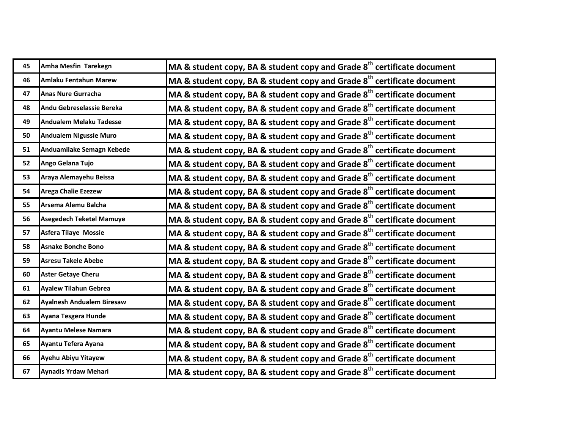| 45 | Amha Mesfin Tarekegn             | MA & student copy, BA & student copy and Grade 8 <sup>th</sup> certificate document |
|----|----------------------------------|-------------------------------------------------------------------------------------|
| 46 | Amlaku Fentahun Marew            | MA & student copy, BA & student copy and Grade $8th$ certificate document           |
| 47 | <b>Anas Nure Gurracha</b>        | MA & student copy, BA & student copy and Grade $8th$ certificate document           |
| 48 | Andu Gebreselassie Bereka        | MA & student copy, BA & student copy and Grade $8th$ certificate document           |
| 49 | <b>Andualem Melaku Tadesse</b>   | MA & student copy, BA & student copy and Grade $8th$ certificate document           |
| 50 | <b>Andualem Nigussie Muro</b>    | MA & student copy, BA & student copy and Grade $8th$ certificate document           |
| 51 | Anduamilake Semagn Kebede        | MA & student copy, BA & student copy and Grade $8th$ certificate document           |
| 52 | Ango Gelana Tujo                 | MA & student copy, BA & student copy and Grade $8th$ certificate document           |
| 53 | Araya Alemayehu Beissa           | MA & student copy, BA & student copy and Grade $8th$ certificate document           |
| 54 | <b>Arega Chalie Ezezew</b>       | MA & student copy, BA & student copy and Grade $8th$ certificate document           |
| 55 | Arsema Alemu Balcha              | MA & student copy, BA & student copy and Grade 8 <sup>th</sup> certificate document |
| 56 | <b>Asegedech Teketel Mamuye</b>  | MA & student copy, BA & student copy and Grade $8th$ certificate document           |
| 57 | Asfera Tilaye Mossie             | MA & student copy, BA & student copy and Grade $8th$ certificate document           |
| 58 | <b>Asnake Bonche Bono</b>        | MA & student copy, BA & student copy and Grade 8 <sup>th</sup> certificate document |
| 59 | <b>Asresu Takele Abebe</b>       | MA & student copy, BA & student copy and Grade $8th$ certificate document           |
| 60 | <b>Aster Getaye Cheru</b>        | MA & student copy, BA & student copy and Grade $8th$ certificate document           |
| 61 | <b>Ayalew Tilahun Gebrea</b>     | MA & student copy, BA & student copy and Grade $8^{th}$ certificate document        |
| 62 | <b>Ayalnesh Andualem Biresaw</b> | MA & student copy, BA & student copy and Grade $8th$ certificate document           |
| 63 | Ayana Tesgera Hunde              | MA & student copy, BA & student copy and Grade $8th$ certificate document           |
| 64 | <b>Ayantu Melese Namara</b>      | MA & student copy, BA & student copy and Grade 8 <sup>th</sup> certificate document |
| 65 | Ayantu Tefera Ayana              | MA & student copy, BA & student copy and Grade $8^{th}$ certificate document        |
| 66 | Ayehu Abiyu Yitayew              | MA & student copy, BA & student copy and Grade $8th$ certificate document           |
| 67 | Aynadis Yrdaw Mehari             | MA & student copy, BA & student copy and Grade $8^{\text{th}}$ certificate document |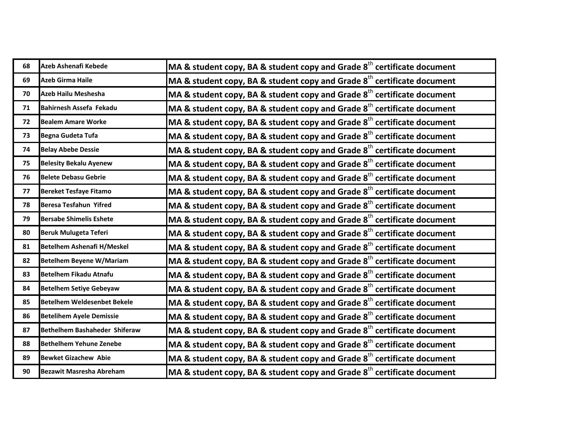| 68 | Azeb Ashenafi Kebede               | MA & student copy, BA & student copy and Grade $8th$ certificate document           |
|----|------------------------------------|-------------------------------------------------------------------------------------|
| 69 | <b>Azeb Girma Haile</b>            | MA & student copy, BA & student copy and Grade $8th$ certificate document           |
| 70 | Azeb Hailu Meshesha                | MA & student copy, BA & student copy and Grade $8th$ certificate document           |
| 71 | Bahirnesh Assefa Fekadu            | MA & student copy, BA & student copy and Grade $8th$ certificate document           |
| 72 | <b>Bealem Amare Worke</b>          | MA & student copy, BA & student copy and Grade $8th$ certificate document           |
| 73 | Begna Gudeta Tufa                  | MA & student copy, BA & student copy and Grade $8th$ certificate document           |
| 74 | <b>Belay Abebe Dessie</b>          | MA & student copy, BA & student copy and Grade $8th$ certificate document           |
| 75 | <b>Belesity Bekalu Ayenew</b>      | MA & student copy, BA & student copy and Grade $8th$ certificate document           |
| 76 | <b>Belete Debasu Gebrie</b>        | MA & student copy, BA & student copy and Grade 8 <sup>th</sup> certificate document |
| 77 | <b>Bereket Tesfaye Fitamo</b>      | MA & student copy, BA & student copy and Grade $8th$ certificate document           |
| 78 | <b>Beresa Tesfahun Yifred</b>      | MA & student copy, BA & student copy and Grade $8th$ certificate document           |
| 79 | <b>Bersabe Shimelis Eshete</b>     | MA & student copy, BA & student copy and Grade $8th$ certificate document           |
| 80 | <b>Beruk Mulugeta Teferi</b>       | MA & student copy, BA & student copy and Grade $8th$ certificate document           |
| 81 | <b>Betelhem Ashenafi H/Meskel</b>  | MA & student copy, BA & student copy and Grade $8th$ certificate document           |
| 82 | <b>Betelhem Beyene W/Mariam</b>    | MA & student copy, BA & student copy and Grade $8th$ certificate document           |
| 83 | <b>Betelhem Fikadu Atnafu</b>      | MA & student copy, BA & student copy and Grade $8th$ certificate document           |
| 84 | <b>Betelhem Setiye Gebeyaw</b>     | MA & student copy, BA & student copy and Grade $8^{\text{th}}$ certificate document |
| 85 | <b>Betelhem Weldesenbet Bekele</b> | MA & student copy, BA & student copy and Grade $8th$ certificate document           |
| 86 | <b>Betelihem Ayele Demissie</b>    | MA & student copy, BA & student copy and Grade $8th$ certificate document           |
| 87 | Bethelhem Bashaheder Shiferaw      | MA & student copy, BA & student copy and Grade $8th$ certificate document           |
| 88 | <b>Bethelhem Yehune Zenebe</b>     | MA & student copy, BA & student copy and Grade $8^{\text{th}}$ certificate document |
| 89 | <b>Bewket Gizachew Abie</b>        | MA & student copy, BA & student copy and Grade $8th$ certificate document           |
| 90 | <b>Bezawit Masresha Abreham</b>    | MA & student copy, BA & student copy and Grade $8^{\text{th}}$ certificate document |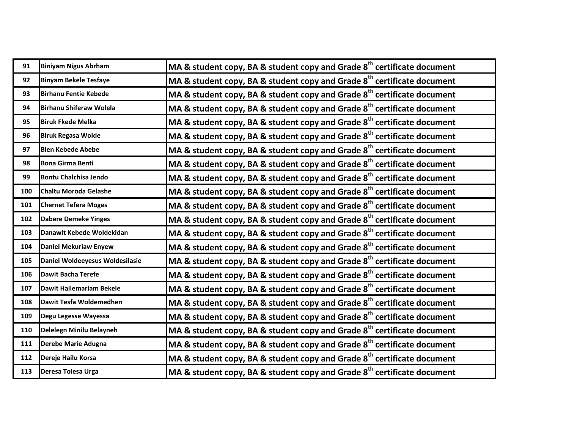| 91  | <b>Biniyam Nigus Abrham</b>     | MA & student copy, BA & student copy and Grade $8th$ certificate document           |
|-----|---------------------------------|-------------------------------------------------------------------------------------|
| 92  | <b>Binyam Bekele Tesfaye</b>    | MA & student copy, BA & student copy and Grade $8th$ certificate document           |
| 93  | <b>Birhanu Fentie Kebede</b>    | MA & student copy, BA & student copy and Grade 8 <sup>th</sup> certificate document |
| 94  | <b>Birhanu Shiferaw Wolela</b>  | MA & student copy, BA & student copy and Grade $8th$ certificate document           |
| 95  | <b>Biruk Fkede Melka</b>        | MA & student copy, BA & student copy and Grade $8th$ certificate document           |
| 96  | <b>Biruk Regasa Wolde</b>       | MA & student copy, BA & student copy and Grade $8th$ certificate document           |
| 97  | <b>Blen Kebede Abebe</b>        | MA & student copy, BA & student copy and Grade $8th$ certificate document           |
| 98  | <b>Bona Girma Benti</b>         | MA & student copy, BA & student copy and Grade $8th$ certificate document           |
| 99  | <b>Bontu Chalchisa Jendo</b>    | MA & student copy, BA & student copy and Grade 8 <sup>th</sup> certificate document |
| 100 | <b>Chaltu Moroda Gelashe</b>    | MA & student copy, BA & student copy and Grade $8th$ certificate document           |
| 101 | <b>Chernet Tefera Moges</b>     | MA & student copy, BA & student copy and Grade 8 <sup>th</sup> certificate document |
| 102 | <b>Dabere Demeke Yinges</b>     | MA & student copy, BA & student copy and Grade 8 <sup>th</sup> certificate document |
| 103 | Danawit Kebede Woldekidan       | MA & student copy, BA & student copy and Grade $8th$ certificate document           |
| 104 | <b>Daniel Mekuriaw Enyew</b>    | MA & student copy, BA & student copy and Grade 8 <sup>th</sup> certificate document |
| 105 | Daniel Woldeeyesus Woldesilasie | MA & student copy, BA & student copy and Grade $8th$ certificate document           |
| 106 | <b>Dawit Bacha Terefe</b>       | MA & student copy, BA & student copy and Grade $8th$ certificate document           |
| 107 | Dawit Hailemariam Bekele        | MA & student copy, BA & student copy and Grade $8th$ certificate document           |
| 108 | Dawit Tesfa Woldemedhen         | MA & student copy, BA & student copy and Grade $8th$ certificate document           |
| 109 | Degu Legesse Wayessa            | MA & student copy, BA & student copy and Grade $8th$ certificate document           |
| 110 | Delelegn Minilu Belayneh        | MA & student copy, BA & student copy and Grade 8 <sup>th</sup> certificate document |
| 111 | Derebe Marie Adugna             | MA & student copy, BA & student copy and Grade $8th$ certificate document           |
| 112 | Dereje Hailu Korsa              | MA & student copy, BA & student copy and Grade $8th$ certificate document           |
| 113 | Deresa Tolesa Urga              | MA & student copy, BA & student copy and Grade $8^{\text{th}}$ certificate document |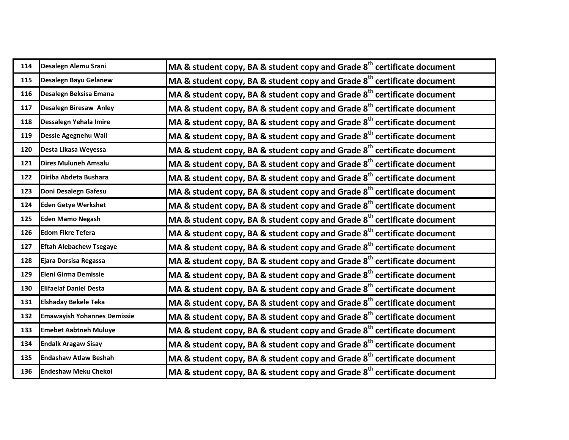| 114 | Desalegn Alemu Srani               | MA & student copy, BA & student copy and Grade $8th$ certificate document           |
|-----|------------------------------------|-------------------------------------------------------------------------------------|
| 115 | Desalegn Bayu Gelanew              | MA & student copy, BA & student copy and Grade $8th$ certificate document           |
| 116 | Desalegn Beksisa Emana             | MA & student copy, BA & student copy and Grade $8th$ certificate document           |
| 117 | Desalegn Biresaw Anley             | MA & student copy, BA & student copy and Grade $8th$ certificate document           |
| 118 | Dessalegn Yehala Imire             | MA & student copy, BA & student copy and Grade 8 <sup>th</sup> certificate document |
| 119 | Dessie Agegnehu Wall               | MA & student copy, BA & student copy and Grade $8th$ certificate document           |
| 120 | Desta Likasa Weyessa               | MA & student copy, BA & student copy and Grade $8th$ certificate document           |
| 121 | <b>Dires Muluneh Amsalu</b>        | MA & student copy, BA & student copy and Grade $8th$ certificate document           |
| 122 | Diriba Abdeta Bushara              | MA & student copy, BA & student copy and Grade $8th$ certificate document           |
| 123 | Doni Desalegn Gafesu               | MA & student copy, BA & student copy and Grade $8th$ certificate document           |
| 124 | <b>Eden Getye Werkshet</b>         | MA & student copy, BA & student copy and Grade 8 <sup>th</sup> certificate document |
| 125 | <b>Eden Mamo Negash</b>            | MA & student copy, BA & student copy and Grade $8th$ certificate document           |
| 126 | <b>Edom Fikre Tefera</b>           | MA & student copy, BA & student copy and Grade 8 <sup>th</sup> certificate document |
| 127 | <b>Eftah Alebachew Tsegaye</b>     | MA & student copy, BA & student copy and Grade 8 <sup>th</sup> certificate document |
| 128 | Ejara Dorsisa Regassa              | MA & student copy, BA & student copy and Grade 8 <sup>th</sup> certificate document |
| 129 | Eleni Girma Demissie               | MA & student copy, BA & student copy and Grade $8th$ certificate document           |
| 130 | <b>Elifaelaf Daniel Desta</b>      | MA & student copy, BA & student copy and Grade $8th$ certificate document           |
| 131 | <b>Elshaday Bekele Teka</b>        | MA & student copy, BA & student copy and Grade $8th$ certificate document           |
| 132 | <b>Emawayish Yohannes Demissie</b> | MA & student copy, BA & student copy and Grade $8th$ certificate document           |
| 133 | <b>Emebet Aabtneh Muluye</b>       | MA & student copy, BA & student copy and Grade $8th$ certificate document           |
| 134 | <b>Endalk Aragaw Sisay</b>         | MA & student copy, BA & student copy and Grade 8 <sup>th</sup> certificate document |
| 135 | <b>Endashaw Atlaw Beshah</b>       | MA & student copy, BA & student copy and Grade $8th$ certificate document           |
| 136 | <b>Endeshaw Meku Chekol</b>        | MA & student copy, BA & student copy and Grade $8^{\text{th}}$ certificate document |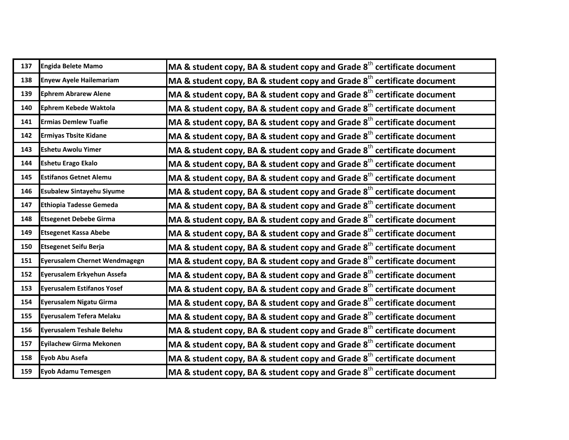| 137 | <b>Engida Belete Mamo</b>            | MA & student copy, BA & student copy and Grade $8th$ certificate document           |
|-----|--------------------------------------|-------------------------------------------------------------------------------------|
| 138 | <b>Enyew Ayele Hailemariam</b>       | MA & student copy, BA & student copy and Grade $8th$ certificate document           |
| 139 | <b>Ephrem Abrarew Alene</b>          | MA & student copy, BA & student copy and Grade 8 <sup>th</sup> certificate document |
| 140 | Ephrem Kebede Waktola                | MA & student copy, BA & student copy and Grade $8th$ certificate document           |
| 141 | <b>Ermias Demlew Tuafie</b>          | MA & student copy, BA & student copy and Grade $8th$ certificate document           |
| 142 | <b>Ermiyas Tbsite Kidane</b>         | MA & student copy, BA & student copy and Grade $8th$ certificate document           |
| 143 | <b>Eshetu Awolu Yimer</b>            | MA & student copy, BA & student copy and Grade $8th$ certificate document           |
| 144 | <b>Eshetu Erago Ekalo</b>            | MA & student copy, BA & student copy and Grade $8^{th}$ certificate document        |
| 145 | <b>Estifanos Getnet Alemu</b>        | MA & student copy, BA & student copy and Grade $8th$ certificate document           |
| 146 | <b>Esubalew Sintayehu Siyume</b>     | MA & student copy, BA & student copy and Grade $8th$ certificate document           |
| 147 | <b>Ethiopia Tadesse Gemeda</b>       | MA & student copy, BA & student copy and Grade 8 <sup>th</sup> certificate document |
| 148 | <b>Etsegenet Debebe Girma</b>        | MA & student copy, BA & student copy and Grade $8^{th}$ certificate document        |
| 149 | <b>Etsegenet Kassa Abebe</b>         | MA & student copy, BA & student copy and Grade $8th$ certificate document           |
| 150 | <b>Etsegenet Seifu Berja</b>         | MA & student copy, BA & student copy and Grade 8 <sup>th</sup> certificate document |
| 151 | <b>Eyerusalem Chernet Wendmagegn</b> | MA & student copy, BA & student copy and Grade $8th$ certificate document           |
| 152 | Eyerusalem Erkyehun Assefa           | MA & student copy, BA & student copy and Grade $8th$ certificate document           |
| 153 | <b>Eyerusalem Estifanos Yosef</b>    | MA & student copy, BA & student copy and Grade $8th$ certificate document           |
| 154 | Eyerusalem Nigatu Girma              | MA & student copy, BA & student copy and Grade $8th$ certificate document           |
| 155 | Eyerusalem Tefera Melaku             | MA & student copy, BA & student copy and Grade $8th$ certificate document           |
| 156 | Eyerusalem Teshale Belehu            | MA & student copy, BA & student copy and Grade $8th$ certificate document           |
| 157 | <b>Eyilachew Girma Mekonen</b>       | MA & student copy, BA & student copy and Grade 8 <sup>th</sup> certificate document |
| 158 | Eyob Abu Asefa                       | MA & student copy, BA & student copy and Grade $8th$ certificate document           |
| 159 | Eyob Adamu Temesgen                  | MA & student copy, BA & student copy and Grade $8^{\text{th}}$ certificate document |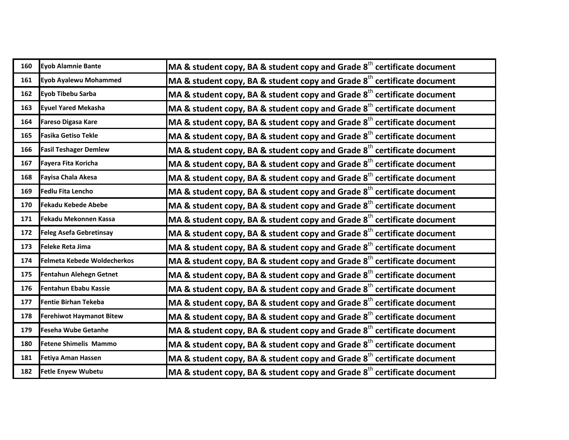| 160 | Eyob Alamnie Bante              | MA & student copy, BA & student copy and Grade $8^{th}$ certificate document        |
|-----|---------------------------------|-------------------------------------------------------------------------------------|
| 161 | <b>Eyob Ayalewu Mohammed</b>    | MA & student copy, BA & student copy and Grade $8th$ certificate document           |
| 162 | Eyob Tibebu Sarba               | MA & student copy, BA & student copy and Grade $8th$ certificate document           |
| 163 | <b>Eyuel Yared Mekasha</b>      | MA & student copy, BA & student copy and Grade $8^{th}$ certificate document        |
| 164 | <b>Fareso Digasa Kare</b>       | MA & student copy, BA & student copy and Grade $8th$ certificate document           |
| 165 | <b>Fasika Getiso Tekle</b>      | MA & student copy, BA & student copy and Grade $8th$ certificate document           |
| 166 | <b>Fasil Teshager Demlew</b>    | MA & student copy, BA & student copy and Grade $8th$ certificate document           |
| 167 | Fayera Fita Koricha             | MA & student copy, BA & student copy and Grade $8^{th}$ certificate document        |
| 168 | <b>Fayisa Chala Akesa</b>       | MA & student copy, BA & student copy and Grade $8th$ certificate document           |
| 169 | <b>Fedlu Fita Lencho</b>        | MA & student copy, BA & student copy and Grade $8th$ certificate document           |
| 170 | <b>Fekadu Kebede Abebe</b>      | MA & student copy, BA & student copy and Grade $8th$ certificate document           |
| 171 | Fekadu Mekonnen Kassa           | MA & student copy, BA & student copy and Grade $8th$ certificate document           |
| 172 | <b>Feleg Asefa Gebretinsay</b>  | MA & student copy, BA & student copy and Grade 8 <sup>th</sup> certificate document |
| 173 | <b>Feleke Reta Jima</b>         | MA & student copy, BA & student copy and Grade $8^{th}$ certificate document        |
| 174 | Felmeta Kebede Woldecherkos     | MA & student copy, BA & student copy and Grade $8th$ certificate document           |
| 175 | Fentahun Alehegn Getnet         | MA & student copy, BA & student copy and Grade $8th$ certificate document           |
| 176 | Fentahun Ebabu Kassie           | MA & student copy, BA & student copy and Grade 8 <sup>th</sup> certificate document |
| 177 | <b>Fentie Birhan Tekeba</b>     | MA & student copy, BA & student copy and Grade $8^{th}$ certificate document        |
| 178 | <b>Ferehiwot Haymanot Bitew</b> | MA & student copy, BA & student copy and Grade $8th$ certificate document           |
| 179 | <b>Feseha Wube Getanhe</b>      | MA & student copy, BA & student copy and Grade $8th$ certificate document           |
| 180 | <b>Fetene Shimelis Mammo</b>    | MA & student copy, BA & student copy and Grade 8 <sup>th</sup> certificate document |
| 181 | <b>Fetiya Aman Hassen</b>       | MA & student copy, BA & student copy and Grade $8^{th}$ certificate document        |
| 182 | <b>Fetle Enyew Wubetu</b>       | MA & student copy, BA & student copy and Grade $8^{th}$ certificate document        |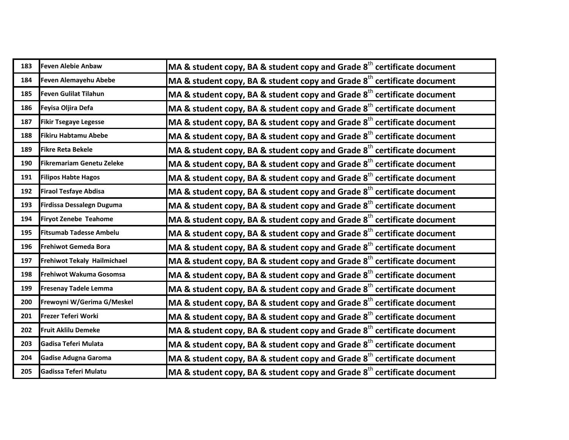| 183 | <b>Feven Alebie Anbaw</b>      | MA & student copy, BA & student copy and Grade $8th$ certificate document           |
|-----|--------------------------------|-------------------------------------------------------------------------------------|
| 184 | Feven Alemayehu Abebe          | MA & student copy, BA & student copy and Grade $8th$ certificate document           |
| 185 | <b>Feven Gulilat Tilahun</b>   | MA & student copy, BA & student copy and Grade $8th$ certificate document           |
| 186 | Feyisa Oljira Defa             | MA & student copy, BA & student copy and Grade $8th$ certificate document           |
| 187 | <b>Fikir Tsegaye Legesse</b>   | MA & student copy, BA & student copy and Grade $8th$ certificate document           |
| 188 | <b>Fikiru Habtamu Abebe</b>    | MA & student copy, BA & student copy and Grade $8th$ certificate document           |
| 189 | <b>Fikre Reta Bekele</b>       | MA & student copy, BA & student copy and Grade $8th$ certificate document           |
| 190 | Fikremariam Genetu Zeleke      | MA & student copy, BA & student copy and Grade $8th$ certificate document           |
| 191 | <b>Filipos Habte Hagos</b>     | MA & student copy, BA & student copy and Grade $8th$ certificate document           |
| 192 | <b>Firaol Tesfaye Abdisa</b>   | MA & student copy, BA & student copy and Grade $8th$ certificate document           |
| 193 | Firdissa Dessalegn Duguma      | MA & student copy, BA & student copy and Grade $8th$ certificate document           |
| 194 | <b>Firyot Zenebe Teahome</b>   | MA & student copy, BA & student copy and Grade $8th$ certificate document           |
| 195 | <b>Fitsumab Tadesse Ambelu</b> | MA & student copy, BA & student copy and Grade 8 <sup>th</sup> certificate document |
| 196 | Frehiwot Gemeda Bora           | MA & student copy, BA & student copy and Grade 8 <sup>th</sup> certificate document |
| 197 | Frehiwot Tekaly Hailmichael    | MA & student copy, BA & student copy and Grade $8th$ certificate document           |
| 198 | Frehiwot Wakuma Gosomsa        | MA & student copy, BA & student copy and Grade $8th$ certificate document           |
| 199 | <b>Fresenay Tadele Lemma</b>   | MA & student copy, BA & student copy and Grade $8th$ certificate document           |
| 200 | Frewoyni W/Gerima G/Meskel     | MA & student copy, BA & student copy and Grade $8th$ certificate document           |
| 201 | Frezer Teferi Worki            | MA & student copy, BA & student copy and Grade $8th$ certificate document           |
| 202 | <b>Fruit Aklilu Demeke</b>     | MA & student copy, BA & student copy and Grade $8th$ certificate document           |
| 203 | Gadisa Teferi Mulata           | MA & student copy, BA & student copy and Grade $8th$ certificate document           |
| 204 | <b>Gadise Adugna Garoma</b>    | MA & student copy, BA & student copy and Grade $8th$ certificate document           |
| 205 | Gadissa Teferi Mulatu          | MA & student copy, BA & student copy and Grade 8 <sup>th</sup> certificate document |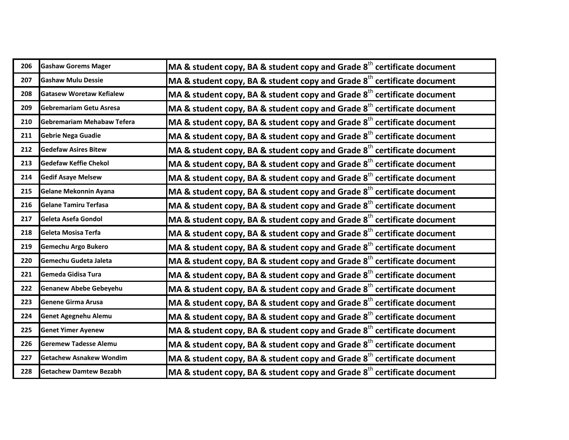| 206 | <b>Gashaw Gorems Mager</b>      | MA & student copy, BA & student copy and Grade $8th$ certificate document           |
|-----|---------------------------------|-------------------------------------------------------------------------------------|
| 207 | <b>Gashaw Mulu Dessie</b>       | MA & student copy, BA & student copy and Grade $8th$ certificate document           |
| 208 | <b>Gatasew Woretaw Kefialew</b> | MA & student copy, BA & student copy and Grade 8 <sup>th</sup> certificate document |
| 209 | Gebremariam Getu Asresa         | MA & student copy, BA & student copy and Grade $8th$ certificate document           |
| 210 | Gebremariam Mehabaw Tefera      | MA & student copy, BA & student copy and Grade $8th$ certificate document           |
| 211 | <b>Gebrie Nega Guadie</b>       | MA & student copy, BA & student copy and Grade $8th$ certificate document           |
| 212 | <b>Gedefaw Asires Bitew</b>     | MA & student copy, BA & student copy and Grade $8th$ certificate document           |
| 213 | <b>Gedefaw Keffie Chekol</b>    | MA & student copy, BA & student copy and Grade $8th$ certificate document           |
| 214 | <b>Gedif Asaye Melsew</b>       | MA & student copy, BA & student copy and Grade 8 <sup>th</sup> certificate document |
| 215 | Gelane Mekonnin Ayana           | MA & student copy, BA & student copy and Grade 8 <sup>th</sup> certificate document |
| 216 | <b>Gelane Tamiru Terfasa</b>    | MA & student copy, BA & student copy and Grade $8th$ certificate document           |
| 217 | Geleta Asefa Gondol             | MA & student copy, BA & student copy and Grade 8 <sup>th</sup> certificate document |
| 218 | Geleta Mosisa Terfa             | MA & student copy, BA & student copy and Grade $8th$ certificate document           |
| 219 | Gemechu Argo Bukero             | MA & student copy, BA & student copy and Grade 8 <sup>th</sup> certificate document |
| 220 | Gemechu Gudeta Jaleta           | MA & student copy, BA & student copy and Grade $8th$ certificate document           |
| 221 | Gemeda Gidisa Tura              | MA & student copy, BA & student copy and Grade $8th$ certificate document           |
| 222 | <b>Genanew Abebe Gebeyehu</b>   | MA & student copy, BA & student copy and Grade $8th$ certificate document           |
| 223 | Genene Girma Arusa              | MA & student copy, BA & student copy and Grade $8th$ certificate document           |
| 224 | <b>Genet Agegnehu Alemu</b>     | MA & student copy, BA & student copy and Grade 8 <sup>th</sup> certificate document |
| 225 | <b>Genet Yimer Ayenew</b>       | MA & student copy, BA & student copy and Grade 8 <sup>th</sup> certificate document |
| 226 | <b>Geremew Tadesse Alemu</b>    | MA & student copy, BA & student copy and Grade $8th$ certificate document           |
| 227 | <b>Getachew Asnakew Wondim</b>  | MA & student copy, BA & student copy and Grade $8th$ certificate document           |
| 228 | <b>Getachew Damtew Bezabh</b>   | MA & student copy, BA & student copy and Grade $8^{\text{th}}$ certificate document |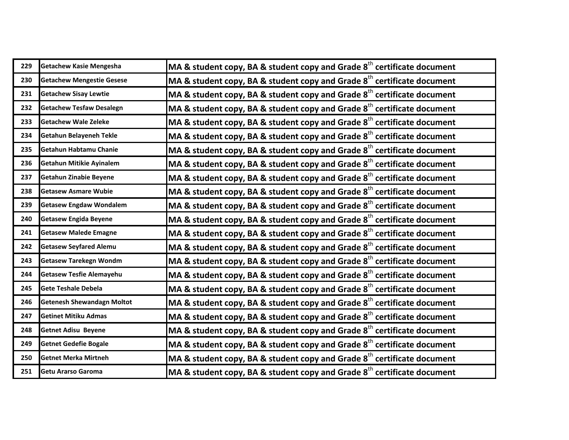| 229 | <b>Getachew Kasie Mengesha</b>    | MA & student copy, BA & student copy and Grade $8th$ certificate document           |
|-----|-----------------------------------|-------------------------------------------------------------------------------------|
| 230 | <b>Getachew Mengestie Gesese</b>  | MA & student copy, BA & student copy and Grade $8th$ certificate document           |
| 231 | <b>Getachew Sisay Lewtie</b>      | MA & student copy, BA & student copy and Grade $8th$ certificate document           |
| 232 | <b>Getachew Tesfaw Desalegn</b>   | MA & student copy, BA & student copy and Grade $8th$ certificate document           |
| 233 | <b>Getachew Wale Zeleke</b>       | MA & student copy, BA & student copy and Grade $8th$ certificate document           |
| 234 | <b>Getahun Belayeneh Tekle</b>    | MA & student copy, BA & student copy and Grade 8 <sup>th</sup> certificate document |
| 235 | Getahun Habtamu Chanie            | MA & student copy, BA & student copy and Grade $8th$ certificate document           |
| 236 | <b>Getahun Mitikie Ayinalem</b>   | MA & student copy, BA & student copy and Grade $8th$ certificate document           |
| 237 | Getahun Zinabie Beyene            | MA & student copy, BA & student copy and Grade $8th$ certificate document           |
| 238 | <b>Getasew Asmare Wubie</b>       | MA & student copy, BA & student copy and Grade 8 <sup>th</sup> certificate document |
| 239 | <b>Getasew Engdaw Wondalem</b>    | MA & student copy, BA & student copy and Grade $8th$ certificate document           |
| 240 | <b>Getasew Engida Beyene</b>      | MA & student copy, BA & student copy and Grade $8th$ certificate document           |
| 241 | <b>Getasew Malede Emagne</b>      | MA & student copy, BA & student copy and Grade $8th$ certificate document           |
| 242 | <b>Getasew Seyfared Alemu</b>     | MA & student copy, BA & student copy and Grade 8 <sup>th</sup> certificate document |
| 243 | <b>Getasew Tarekegn Wondm</b>     | MA & student copy, BA & student copy and Grade $8th$ certificate document           |
| 244 | <b>Getasew Tesfie Alemayehu</b>   | MA & student copy, BA & student copy and Grade $8th$ certificate document           |
| 245 | <b>Gete Teshale Debela</b>        | MA & student copy, BA & student copy and Grade $8th$ certificate document           |
| 246 | <b>Getenesh Shewandagn Moltot</b> | MA & student copy, BA & student copy and Grade $8th$ certificate document           |
| 247 | <b>Getinet Mitiku Admas</b>       | MA & student copy, BA & student copy and Grade 8 <sup>th</sup> certificate document |
| 248 | <b>Getnet Adisu Beyene</b>        | MA & student copy, BA & student copy and Grade $8th$ certificate document           |
| 249 | <b>Getnet Gedefie Bogale</b>      | MA & student copy, BA & student copy and Grade $8th$ certificate document           |
| 250 | <b>Getnet Merka Mirtneh</b>       | MA & student copy, BA & student copy and Grade $8th$ certificate document           |
| 251 | Getu Ararso Garoma                | MA & student copy, BA & student copy and Grade 8 <sup>th</sup> certificate document |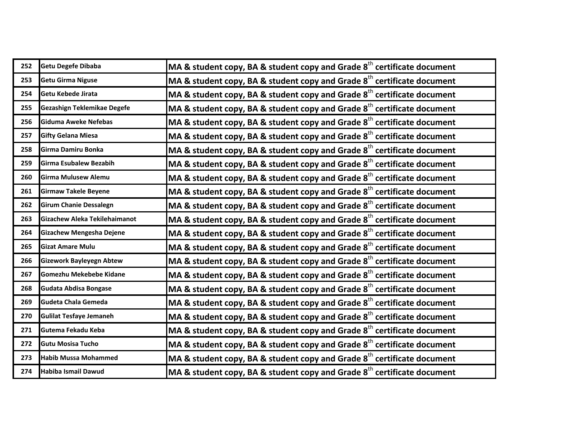| 252 | Getu Degefe Dibaba              | MA & student copy, BA & student copy and Grade $8th$ certificate document           |
|-----|---------------------------------|-------------------------------------------------------------------------------------|
| 253 | <b>Getu Girma Niguse</b>        | MA & student copy, BA & student copy and Grade $8th$ certificate document           |
| 254 | Getu Kebede Jirata              | MA & student copy, BA & student copy and Grade $8th$ certificate document           |
| 255 | Gezashign Teklemikae Degefe     | MA & student copy, BA & student copy and Grade $8th$ certificate document           |
| 256 | Giduma Aweke Nefebas            | MA & student copy, BA & student copy and Grade $8th$ certificate document           |
| 257 | <b>Gifty Gelana Miesa</b>       | MA & student copy, BA & student copy and Grade 8 <sup>th</sup> certificate document |
| 258 | Girma Damiru Bonka              | MA & student copy, BA & student copy and Grade $8th$ certificate document           |
| 259 | Girma Esubalew Bezabih          | MA & student copy, BA & student copy and Grade $8th$ certificate document           |
| 260 | <b>Girma Mulusew Alemu</b>      | MA & student copy, BA & student copy and Grade $8th$ certificate document           |
| 261 | <b>Girmaw Takele Beyene</b>     | MA & student copy, BA & student copy and Grade $8th$ certificate document           |
| 262 | <b>Girum Chanie Dessalegn</b>   | MA & student copy, BA & student copy and Grade $8th$ certificate document           |
| 263 | Gizachew Aleka Tekilehaimanot   | MA & student copy, BA & student copy and Grade $8th$ certificate document           |
| 264 | Gizachew Mengesha Dejene        | MA & student copy, BA & student copy and Grade $8th$ certificate document           |
| 265 | <b>Gizat Amare Mulu</b>         | MA & student copy, BA & student copy and Grade 8 <sup>th</sup> certificate document |
| 266 | <b>Gizework Bayleyegn Abtew</b> | MA & student copy, BA & student copy and Grade $8th$ certificate document           |
| 267 | Gomezhu Mekebebe Kidane         | MA & student copy, BA & student copy and Grade $8th$ certificate document           |
| 268 | Gudata Abdisa Bongase           | MA & student copy, BA & student copy and Grade $8th$ certificate document           |
| 269 | Gudeta Chala Gemeda             | MA & student copy, BA & student copy and Grade $8th$ certificate document           |
| 270 | <b>Gulilat Tesfaye Jemaneh</b>  | MA & student copy, BA & student copy and Grade 8 <sup>th</sup> certificate document |
| 271 | Gutema Fekadu Keba              | MA & student copy, BA & student copy and Grade $8th$ certificate document           |
| 272 | <b>Gutu Mosisa Tucho</b>        | MA & student copy, BA & student copy and Grade $8th$ certificate document           |
| 273 | <b>Habib Mussa Mohammed</b>     | MA & student copy, BA & student copy and Grade $8th$ certificate document           |
| 274 | Habiba Ismail Dawud             | MA & student copy, BA & student copy and Grade 8 <sup>th</sup> certificate document |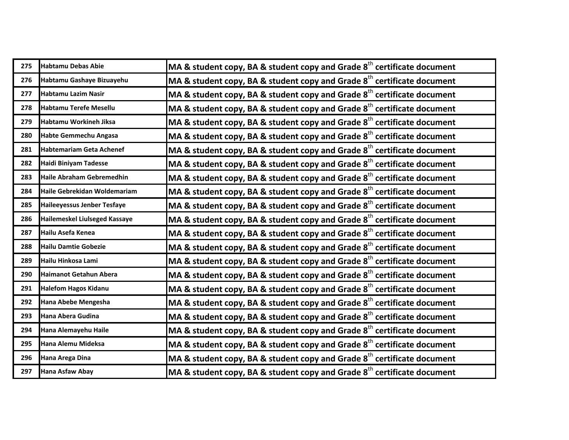| 275 | <b>Habtamu Debas Abie</b>          | MA & student copy, BA & student copy and Grade $8th$ certificate document           |
|-----|------------------------------------|-------------------------------------------------------------------------------------|
| 276 | Habtamu Gashaye Bizuayehu          | MA & student copy, BA & student copy and Grade $8th$ certificate document           |
| 277 | <b>Habtamu Lazim Nasir</b>         | MA & student copy, BA & student copy and Grade $8th$ certificate document           |
| 278 | Habtamu Terefe Mesellu             | MA & student copy, BA & student copy and Grade $8th$ certificate document           |
| 279 | Habtamu Workineh Jiksa             | MA & student copy, BA & student copy and Grade 8 <sup>th</sup> certificate document |
| 280 | <b>Habte Gemmechu Angasa</b>       | MA & student copy, BA & student copy and Grade $8th$ certificate document           |
| 281 | <b>Habtemariam Geta Achenef</b>    | MA & student copy, BA & student copy and Grade $8th$ certificate document           |
| 282 | Haidi Biniyam Tadesse              | MA & student copy, BA & student copy and Grade $8th$ certificate document           |
| 283 | Haile Abraham Gebremedhin          | MA & student copy, BA & student copy and Grade $8th$ certificate document           |
| 284 | Haile Gebrekidan Woldemariam       | MA & student copy, BA & student copy and Grade $8th$ certificate document           |
| 285 | <b>Haileeyessus Jenber Tesfaye</b> | MA & student copy, BA & student copy and Grade $8th$ certificate document           |
| 286 | Hailemeskel Liulseged Kassaye      | MA & student copy, BA & student copy and Grade $8th$ certificate document           |
| 287 | Hailu Asefa Kenea                  | MA & student copy, BA & student copy and Grade $8th$ certificate document           |
| 288 | <b>Hailu Damtie Gobezie</b>        | MA & student copy, BA & student copy and Grade 8 <sup>th</sup> certificate document |
| 289 | Hailu Hinkosa Lami                 | MA & student copy, BA & student copy and Grade $8th$ certificate document           |
| 290 | <b>Haimanot Getahun Abera</b>      | MA & student copy, BA & student copy and Grade 8 <sup>th</sup> certificate document |
| 291 | <b>Halefom Hagos Kidanu</b>        | MA & student copy, BA & student copy and Grade $8th$ certificate document           |
| 292 | Hana Abebe Mengesha                | MA & student copy, BA & student copy and Grade $8th$ certificate document           |
| 293 | Hana Abera Gudina                  | MA & student copy, BA & student copy and Grade $8th$ certificate document           |
| 294 | Hana Alemayehu Haile               | MA & student copy, BA & student copy and Grade $8th$ certificate document           |
| 295 | Hana Alemu Mideksa                 | MA & student copy, BA & student copy and Grade $8th$ certificate document           |
| 296 | Hana Arega Dina                    | MA & student copy, BA & student copy and Grade $8th$ certificate document           |
| 297 | <b>Hana Asfaw Abay</b>             | MA & student copy, BA & student copy and Grade $8^{\text{th}}$ certificate document |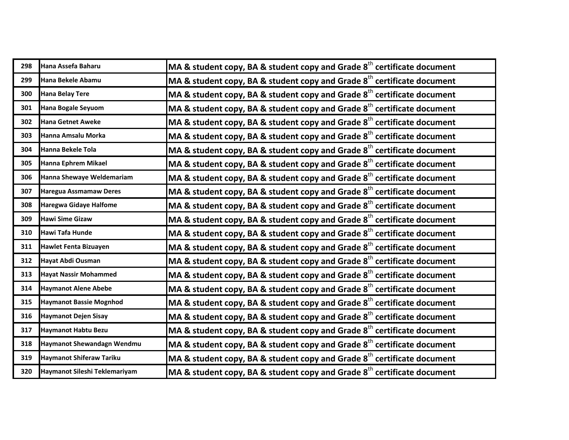| 298 | Hana Assefa Baharu              | MA & student copy, BA & student copy and Grade $8th$ certificate document           |
|-----|---------------------------------|-------------------------------------------------------------------------------------|
| 299 | Hana Bekele Abamu               | MA & student copy, BA & student copy and Grade 8 <sup>th</sup> certificate document |
| 300 | <b>Hana Belay Tere</b>          | MA & student copy, BA & student copy and Grade 8 <sup>th</sup> certificate document |
| 301 | <b>Hana Bogale Seyuom</b>       | MA & student copy, BA & student copy and Grade $8th$ certificate document           |
| 302 | <b>Hana Getnet Aweke</b>        | MA & student copy, BA & student copy and Grade $8th$ certificate document           |
| 303 | Hanna Amsalu Morka              | MA & student copy, BA & student copy and Grade $8th$ certificate document           |
| 304 | Hanna Bekele Tola               | MA & student copy, BA & student copy and Grade $8th$ certificate document           |
| 305 | Hanna Ephrem Mikael             | MA & student copy, BA & student copy and Grade $8th$ certificate document           |
| 306 | Hanna Shewaye Weldemariam       | MA & student copy, BA & student copy and Grade $8th$ certificate document           |
| 307 | <b>Haregua Assmamaw Deres</b>   | MA & student copy, BA & student copy and Grade 8 <sup>th</sup> certificate document |
| 308 | <b>Haregwa Gidaye Halfome</b>   | MA & student copy, BA & student copy and Grade $8th$ certificate document           |
| 309 | <b>Hawi Sime Gizaw</b>          | MA & student copy, BA & student copy and Grade $8th$ certificate document           |
| 310 | Hawi Tafa Hunde                 | MA & student copy, BA & student copy and Grade $8th$ certificate document           |
| 311 | <b>Hawlet Fenta Bizuayen</b>    | MA & student copy, BA & student copy and Grade $8th$ certificate document           |
| 312 | Hayat Abdi Ousman               | MA & student copy, BA & student copy and Grade $8th$ certificate document           |
| 313 | <b>Hayat Nassir Mohammed</b>    | MA & student copy, BA & student copy and Grade $8th$ certificate document           |
| 314 | <b>Haymanot Alene Abebe</b>     | MA & student copy, BA & student copy and Grade $8th$ certificate document           |
| 315 | <b>Haymanot Bassie Mognhod</b>  | MA & student copy, BA & student copy and Grade $8th$ certificate document           |
| 316 | <b>Haymanot Dejen Sisay</b>     | MA & student copy, BA & student copy and Grade $8th$ certificate document           |
| 317 | <b>Haymanot Habtu Bezu</b>      | MA & student copy, BA & student copy and Grade $8th$ certificate document           |
| 318 | Haymanot Shewandagn Wendmu      | MA & student copy, BA & student copy and Grade $8th$ certificate document           |
| 319 | <b>Haymanot Shiferaw Tariku</b> | MA & student copy, BA & student copy and Grade $8th$ certificate document           |
| 320 | Haymanot Sileshi Teklemariyam   | MA & student copy, BA & student copy and Grade $8^{\text{th}}$ certificate document |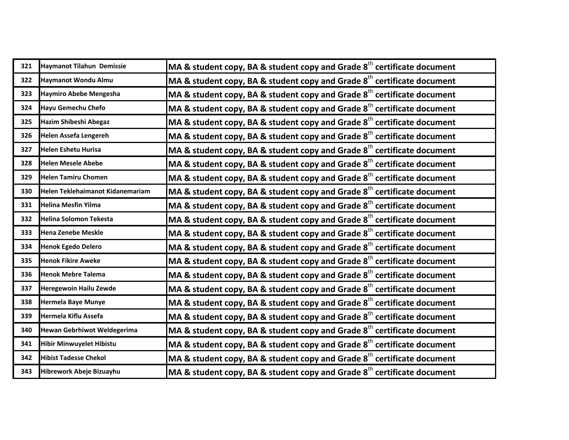| 321 | Haymanot Tilahun Demissie          | MA & student copy, BA & student copy and Grade $8th$ certificate document           |
|-----|------------------------------------|-------------------------------------------------------------------------------------|
| 322 | <b>Haymanot Wondu Almu</b>         | MA & student copy, BA & student copy and Grade 8 <sup>th</sup> certificate document |
| 323 | <b>Haymiro Abebe Mengesha</b>      | MA & student copy, BA & student copy and Grade 8 <sup>th</sup> certificate document |
| 324 | <b>Hayu Gemechu Chefo</b>          | MA & student copy, BA & student copy and Grade 8 <sup>th</sup> certificate document |
| 325 | Hazim Shibeshi Abegaz              | MA & student copy, BA & student copy and Grade 8 <sup>th</sup> certificate document |
| 326 | <b>Helen Assefa Lengereh</b>       | MA & student copy, BA & student copy and Grade $8th$ certificate document           |
| 327 | <b>Helen Eshetu Hurisa</b>         | MA & student copy, BA & student copy and Grade 8 <sup>th</sup> certificate document |
| 328 | <b>Helen Mesele Abebe</b>          | MA & student copy, BA & student copy and Grade 8 <sup>th</sup> certificate document |
| 329 | <b>Helen Tamiru Chomen</b>         | MA & student copy, BA & student copy and Grade 8 <sup>th</sup> certificate document |
| 330 | Helen Teklehaimanot Kidanemariam   | MA & student copy, BA & student copy and Grade 8 <sup>th</sup> certificate document |
| 331 | <b>Helina Mesfin Yilma</b>         | MA & student copy, BA & student copy and Grade 8 <sup>th</sup> certificate document |
| 332 | Helina Solomon Tekesta             | MA & student copy, BA & student copy and Grade 8 <sup>th</sup> certificate document |
| 333 | <b>Hena Zenebe Meskle</b>          | MA & student copy, BA & student copy and Grade 8 <sup>th</sup> certificate document |
| 334 | <b>Henok Egedo Delero</b>          | MA & student copy, BA & student copy and Grade 8 <sup>th</sup> certificate document |
| 335 | <b>Henok Fikire Aweke</b>          | MA & student copy, BA & student copy and Grade 8 <sup>th</sup> certificate document |
| 336 | <b>Henok Mebre Talema</b>          | MA & student copy, BA & student copy and Grade 8 <sup>th</sup> certificate document |
| 337 | <b>Heregewoin Hailu Zewde</b>      | MA & student copy, BA & student copy and Grade 8 <sup>th</sup> certificate document |
| 338 | <b>Hermela Baye Munye</b>          | MA & student copy, BA & student copy and Grade 8 <sup>th</sup> certificate document |
| 339 | Hermela Kiflu Assefa               | MA & student copy, BA & student copy and Grade 8 <sup>th</sup> certificate document |
| 340 | <b>Hewan Gebrhiwot Weldegerima</b> | MA & student copy, BA & student copy and Grade 8 <sup>th</sup> certificate document |
| 341 | <b>Hibir Minwuyelet Hibistu</b>    | MA & student copy, BA & student copy and Grade $8th$ certificate document           |
| 342 | <b>Hibist Tadesse Chekol</b>       | MA & student copy, BA & student copy and Grade 8 <sup>th</sup> certificate document |
| 343 | Hibrework Abeje Bizuayhu           | MA & student copy, BA & student copy and Grade $8^{th}$ certificate document        |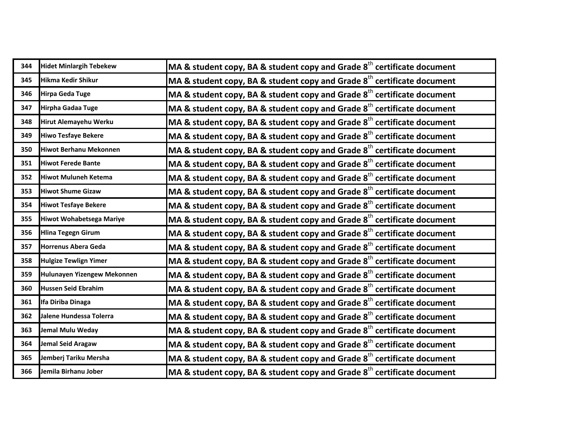| 344 | <b>Hidet Minlargih Tebekew</b>  | MA & student copy, BA & student copy and Grade $8th$ certificate document           |
|-----|---------------------------------|-------------------------------------------------------------------------------------|
| 345 | <b>Hikma Kedir Shikur</b>       | MA & student copy, BA & student copy and Grade 8 <sup>th</sup> certificate document |
| 346 | <b>Hirpa Geda Tuge</b>          | MA & student copy, BA & student copy and Grade 8 <sup>th</sup> certificate document |
| 347 | Hirpha Gadaa Tuge               | MA & student copy, BA & student copy and Grade 8 <sup>th</sup> certificate document |
| 348 | Hirut Alemayehu Werku           | MA & student copy, BA & student copy and Grade 8 <sup>th</sup> certificate document |
| 349 | <b>Hiwo Tesfaye Bekere</b>      | MA & student copy, BA & student copy and Grade $8th$ certificate document           |
| 350 | <b>Hiwot Berhanu Mekonnen</b>   | MA & student copy, BA & student copy and Grade 8 <sup>th</sup> certificate document |
| 351 | <b>Hiwot Ferede Bante</b>       | MA & student copy, BA & student copy and Grade 8 <sup>th</sup> certificate document |
| 352 | <b>Hiwot Muluneh Ketema</b>     | MA & student copy, BA & student copy and Grade 8 <sup>th</sup> certificate document |
| 353 | <b>Hiwot Shume Gizaw</b>        | MA & student copy, BA & student copy and Grade 8 <sup>th</sup> certificate document |
| 354 | <b>Hiwot Tesfaye Bekere</b>     | MA & student copy, BA & student copy and Grade 8 <sup>th</sup> certificate document |
| 355 | <b>Hiwot Wohabetsega Mariye</b> | MA & student copy, BA & student copy and Grade 8 <sup>th</sup> certificate document |
| 356 | <b>Hlina Tegegn Girum</b>       | MA & student copy, BA & student copy and Grade 8 <sup>th</sup> certificate document |
| 357 | <b>Horrenus Abera Geda</b>      | MA & student copy, BA & student copy and Grade 8 <sup>th</sup> certificate document |
| 358 | <b>Hulgize Tewlign Yimer</b>    | MA & student copy, BA & student copy and Grade 8 <sup>th</sup> certificate document |
| 359 | Hulunayen Yizengew Mekonnen     | MA & student copy, BA & student copy and Grade 8 <sup>th</sup> certificate document |
| 360 | Hussen Seid Ebrahim             | MA & student copy, BA & student copy and Grade 8 <sup>th</sup> certificate document |
| 361 | Ifa Diriba Dinaga               | MA & student copy, BA & student copy and Grade 8 <sup>th</sup> certificate document |
| 362 | Jalene Hundessa Tolerra         | MA & student copy, BA & student copy and Grade 8 <sup>th</sup> certificate document |
| 363 | Jemal Mulu Weday                | MA & student copy, BA & student copy and Grade 8 <sup>th</sup> certificate document |
| 364 | <b>Jemal Seid Aragaw</b>        | MA & student copy, BA & student copy and Grade $8th$ certificate document           |
| 365 | Jemberj Tariku Mersha           | MA & student copy, BA & student copy and Grade 8 <sup>th</sup> certificate document |
| 366 | Jemila Birhanu Jober            | MA & student copy, BA & student copy and Grade $8^{th}$ certificate document        |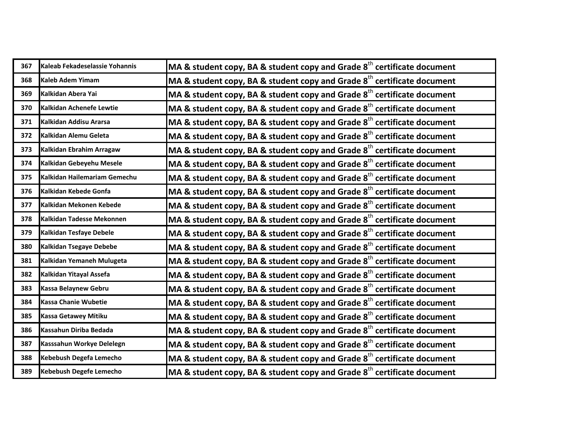| 367 | Kaleab Fekadeselassie Yohannis | MA & student copy, BA & student copy and Grade $8th$ certificate document           |
|-----|--------------------------------|-------------------------------------------------------------------------------------|
| 368 | <b>Kaleb Adem Yimam</b>        | MA & student copy, BA & student copy and Grade 8 <sup>th</sup> certificate document |
| 369 | Kalkidan Abera Yai             | MA & student copy, BA & student copy and Grade 8 <sup>th</sup> certificate document |
| 370 | Kalkidan Achenefe Lewtie       | MA & student copy, BA & student copy and Grade 8 <sup>th</sup> certificate document |
| 371 | Kalkidan Addisu Ararsa         | MA & student copy, BA & student copy and Grade 8 <sup>th</sup> certificate document |
| 372 | Kalkidan Alemu Geleta          | MA & student copy, BA & student copy and Grade $8th$ certificate document           |
| 373 | Kalkidan Ebrahim Arragaw       | MA & student copy, BA & student copy and Grade 8 <sup>th</sup> certificate document |
| 374 | Kalkidan Gebeyehu Mesele       | MA & student copy, BA & student copy and Grade 8 <sup>th</sup> certificate document |
| 375 | Kalkidan Hailemariam Gemechu   | MA & student copy, BA & student copy and Grade 8 <sup>th</sup> certificate document |
| 376 | Kalkidan Kebede Gonfa          | MA & student copy, BA & student copy and Grade 8 <sup>th</sup> certificate document |
| 377 | Kalkidan Mekonen Kebede        | MA & student copy, BA & student copy and Grade 8 <sup>th</sup> certificate document |
| 378 | Kalkidan Tadesse Mekonnen      | MA & student copy, BA & student copy and Grade 8 <sup>th</sup> certificate document |
| 379 | <b>Kalkidan Tesfaye Debele</b> | MA & student copy, BA & student copy and Grade 8 <sup>th</sup> certificate document |
| 380 | <b>Kalkidan Tsegaye Debebe</b> | MA & student copy, BA & student copy and Grade 8 <sup>th</sup> certificate document |
| 381 | Kalkidan Yemaneh Mulugeta      | MA & student copy, BA & student copy and Grade 8 <sup>th</sup> certificate document |
| 382 | Kalkidan Yitayal Assefa        | MA & student copy, BA & student copy and Grade 8 <sup>th</sup> certificate document |
| 383 | <b>Kassa Belaynew Gebru</b>    | MA & student copy, BA & student copy and Grade 8 <sup>th</sup> certificate document |
| 384 | Kassa Chanie Wubetie           | MA & student copy, BA & student copy and Grade 8 <sup>th</sup> certificate document |
| 385 | <b>Kassa Getawey Mitiku</b>    | MA & student copy, BA & student copy and Grade 8 <sup>th</sup> certificate document |
| 386 | Kassahun Diriba Bedada         | MA & student copy, BA & student copy and Grade 8 <sup>th</sup> certificate document |
| 387 | Kasssahun Workye Delelegn      | MA & student copy, BA & student copy and Grade $8th$ certificate document           |
| 388 | Kebebush Degefa Lemecho        | MA & student copy, BA & student copy and Grade 8 <sup>th</sup> certificate document |
| 389 | <b>Kebebush Degefe Lemecho</b> | MA & student copy, BA & student copy and Grade $8^{\text{th}}$ certificate document |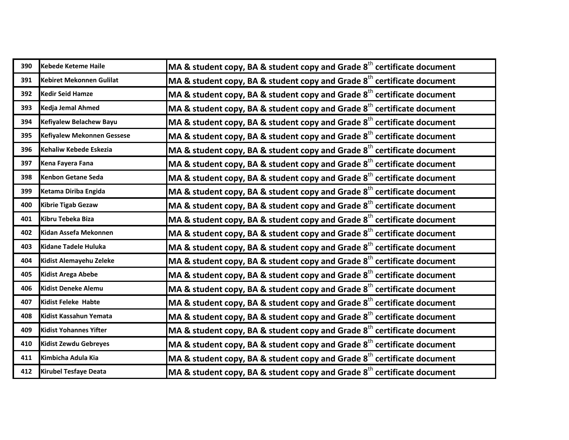| 390 | <b>Kebede Keteme Haile</b>      | MA & student copy, BA & student copy and Grade $8th$ certificate document           |
|-----|---------------------------------|-------------------------------------------------------------------------------------|
| 391 | <b>Kebiret Mekonnen Gulilat</b> | MA & student copy, BA & student copy and Grade $8th$ certificate document           |
| 392 | <b>Kedir Seid Hamze</b>         | MA & student copy, BA & student copy and Grade $8th$ certificate document           |
| 393 | Kedja Jemal Ahmed               | MA & student copy, BA & student copy and Grade $8th$ certificate document           |
| 394 | Kefiyalew Belachew Bayu         | MA & student copy, BA & student copy and Grade $8th$ certificate document           |
| 395 | Kefiyalew Mekonnen Gessese      | MA & student copy, BA & student copy and Grade 8 <sup>th</sup> certificate document |
| 396 | Kehaliw Kebede Eskezia          | MA & student copy, BA & student copy and Grade $8th$ certificate document           |
| 397 | Kena Fayera Fana                | MA & student copy, BA & student copy and Grade $8th$ certificate document           |
| 398 | <b>Kenbon Getane Seda</b>       | MA & student copy, BA & student copy and Grade 8 <sup>th</sup> certificate document |
| 399 | Ketama Diriba Engida            | MA & student copy, BA & student copy and Grade $8th$ certificate document           |
| 400 | <b>Kibrie Tigab Gezaw</b>       | MA & student copy, BA & student copy and Grade $8th$ certificate document           |
| 401 | Kibru Tebeka Biza               | MA & student copy, BA & student copy and Grade $8th$ certificate document           |
| 402 | Kidan Assefa Mekonnen           | MA & student copy, BA & student copy and Grade $8th$ certificate document           |
| 403 | <b>Kidane Tadele Huluka</b>     | MA & student copy, BA & student copy and Grade $8th$ certificate document           |
| 404 | Kidist Alemayehu Zeleke         | MA & student copy, BA & student copy and Grade $8th$ certificate document           |
| 405 | <b>Kidist Arega Abebe</b>       | MA & student copy, BA & student copy and Grade $8th$ certificate document           |
| 406 | <b>Kidist Deneke Alemu</b>      | MA & student copy, BA & student copy and Grade $8th$ certificate document           |
| 407 | <b>Kidist Feleke Habte</b>      | MA & student copy, BA & student copy and Grade $8th$ certificate document           |
| 408 | Kidist Kassahun Yemata          | MA & student copy, BA & student copy and Grade 8 <sup>th</sup> certificate document |
| 409 | <b>Kidist Yohannes Yifter</b>   | MA & student copy, BA & student copy and Grade $8th$ certificate document           |
| 410 | <b>Kidist Zewdu Gebreyes</b>    | MA & student copy, BA & student copy and Grade $8th$ certificate document           |
| 411 | Kimbicha Adula Kia              | MA & student copy, BA & student copy and Grade $8th$ certificate document           |
| 412 | <b>Kirubel Tesfaye Deata</b>    | MA & student copy, BA & student copy and Grade 8 <sup>th</sup> certificate document |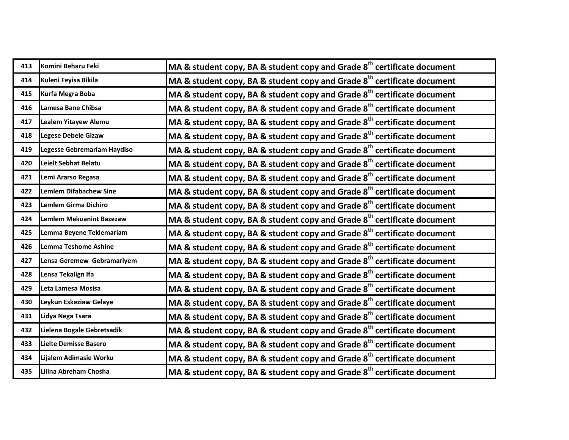| 413 | Komini Beharu Feki              | MA & student copy, BA & student copy and Grade $8th$ certificate document           |
|-----|---------------------------------|-------------------------------------------------------------------------------------|
| 414 | Kuleni Feyisa Bikila            | MA & student copy, BA & student copy and Grade $8th$ certificate document           |
| 415 | Kurfa Megra Boba                | MA & student copy, BA & student copy and Grade 8 <sup>th</sup> certificate document |
| 416 | Lamesa Bane Chibsa              | MA & student copy, BA & student copy and Grade $8th$ certificate document           |
| 417 | Lealem Yitayew Alemu            | MA & student copy, BA & student copy and Grade $8th$ certificate document           |
| 418 | <b>Legese Debele Gizaw</b>      | MA & student copy, BA & student copy and Grade $8^{th}$ certificate document        |
| 419 | Legesse Gebremariam Haydiso     | MA & student copy, BA & student copy and Grade $8th$ certificate document           |
| 420 | Leielt Sebhat Belatu            | MA & student copy, BA & student copy and Grade $8th$ certificate document           |
| 421 | Lemi Ararso Regasa              | MA & student copy, BA & student copy and Grade $8th$ certificate document           |
| 422 | <b>Lemlem Difabachew Sine</b>   | MA & student copy, BA & student copy and Grade 8 <sup>th</sup> certificate document |
| 423 | <b>Lemlem Girma Dichiro</b>     | MA & student copy, BA & student copy and Grade $8th$ certificate document           |
| 424 | <b>Lemlem Mekuanint Bazezaw</b> | MA & student copy, BA & student copy and Grade $8th$ certificate document           |
| 425 | Lemma Beyene Teklemariam        | MA & student copy, BA & student copy and Grade $8th$ certificate document           |
| 426 | <b>Lemma Teshome Ashine</b>     | MA & student copy, BA & student copy and Grade $8th$ certificate document           |
| 427 | Lensa Geremew Gebramariyem      | MA & student copy, BA & student copy and Grade $8th$ certificate document           |
| 428 | Lensa Tekalign Ifa              | MA & student copy, BA & student copy and Grade $8th$ certificate document           |
| 429 | Leta Lamesa Mosisa              | MA & student copy, BA & student copy and Grade $8th$ certificate document           |
| 430 | Leykun Eskeziaw Gelaye          | MA & student copy, BA & student copy and Grade $8th$ certificate document           |
| 431 | Lidya Nega Tsara                | MA & student copy, BA & student copy and Grade 8 <sup>th</sup> certificate document |
| 432 | Lielena Bogale Gebretsadik      | MA & student copy, BA & student copy and Grade 8 <sup>th</sup> certificate document |
| 433 | Lielte Demisse Basero           | MA & student copy, BA & student copy and Grade $8th$ certificate document           |
| 434 | Lijalem Adimasie Worku          | MA & student copy, BA & student copy and Grade $8th$ certificate document           |
| 435 | Lilina Abreham Chosha           | MA & student copy, BA & student copy and Grade $8th$ certificate document           |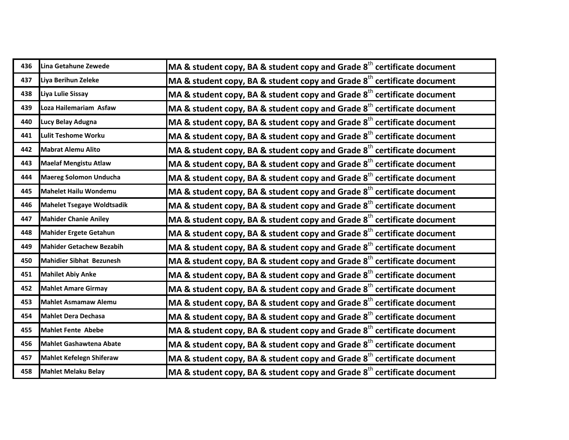| 436 | Lina Getahune Zewede              | MA & student copy, BA & student copy and Grade $8th$ certificate document           |
|-----|-----------------------------------|-------------------------------------------------------------------------------------|
| 437 | Liya Berihun Zeleke               | MA & student copy, BA & student copy and Grade $8th$ certificate document           |
| 438 | Liya Lulie Sissay                 | MA & student copy, BA & student copy and Grade $8th$ certificate document           |
| 439 | Loza Hailemariam Asfaw            | MA & student copy, BA & student copy and Grade $8th$ certificate document           |
| 440 | Lucy Belay Adugna                 | MA & student copy, BA & student copy and Grade $8th$ certificate document           |
| 441 | <b>Lulit Teshome Worku</b>        | MA & student copy, BA & student copy and Grade $8th$ certificate document           |
| 442 | <b>Mabrat Alemu Alito</b>         | MA & student copy, BA & student copy and Grade $8th$ certificate document           |
| 443 | <b>Maelaf Mengistu Atlaw</b>      | MA & student copy, BA & student copy and Grade $8th$ certificate document           |
| 444 | <b>Maereg Solomon Unducha</b>     | MA & student copy, BA & student copy and Grade 8 <sup>th</sup> certificate document |
| 445 | <b>Mahelet Hailu Wondemu</b>      | MA & student copy, BA & student copy and Grade 8 <sup>th</sup> certificate document |
| 446 | <b>Mahelet Tsegaye Woldtsadik</b> | MA & student copy, BA & student copy and Grade $8th$ certificate document           |
| 447 | <b>Mahider Chanie Aniley</b>      | MA & student copy, BA & student copy and Grade $8th$ certificate document           |
| 448 | <b>Mahider Ergete Getahun</b>     | MA & student copy, BA & student copy and Grade $8th$ certificate document           |
| 449 | <b>Mahider Getachew Bezabih</b>   | MA & student copy, BA & student copy and Grade $8th$ certificate document           |
| 450 | <b>Mahidier Sibhat Bezunesh</b>   | MA & student copy, BA & student copy and Grade $8th$ certificate document           |
| 451 | <b>Mahilet Abiy Anke</b>          | MA & student copy, BA & student copy and Grade $8th$ certificate document           |
| 452 | <b>Mahlet Amare Girmay</b>        | MA & student copy, BA & student copy and Grade $8th$ certificate document           |
| 453 | <b>Mahlet Asmamaw Alemu</b>       | MA & student copy, BA & student copy and Grade $8th$ certificate document           |
| 454 | <b>Mahlet Dera Dechasa</b>        | MA & student copy, BA & student copy and Grade 8 <sup>th</sup> certificate document |
| 455 | <b>Mahlet Fente Abebe</b>         | MA & student copy, BA & student copy and Grade $8^{th}$ certificate document        |
| 456 | <b>Mahlet Gashawtena Abate</b>    | MA & student copy, BA & student copy and Grade $8th$ certificate document           |
| 457 | <b>Mahlet Kefelegn Shiferaw</b>   | MA & student copy, BA & student copy and Grade $8th$ certificate document           |
| 458 | <b>Mahlet Melaku Belay</b>        | MA & student copy, BA & student copy and Grade $8^{\text{th}}$ certificate document |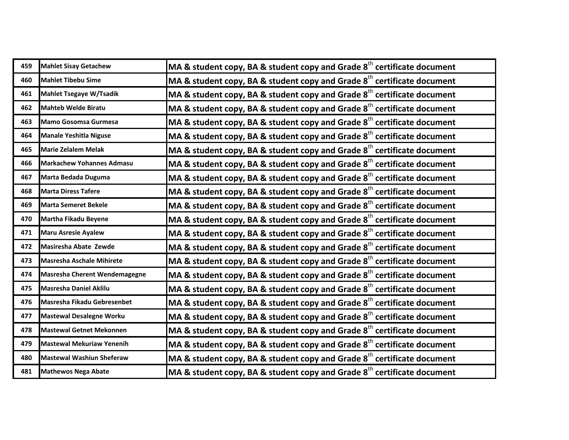| 459 | <b>Mahlet Sisay Getachew</b>     | MA & student copy, BA & student copy and Grade $8th$ certificate document           |
|-----|----------------------------------|-------------------------------------------------------------------------------------|
| 460 | <b>Mahlet Tibebu Sime</b>        | MA & student copy, BA & student copy and Grade 8 <sup>th</sup> certificate document |
| 461 | <b>Mahlet Tsegaye W/Tsadik</b>   | MA & student copy, BA & student copy and Grade 8 <sup>th</sup> certificate document |
| 462 | <b>Mahteb Welde Biratu</b>       | MA & student copy, BA & student copy and Grade 8 <sup>th</sup> certificate document |
| 463 | Mamo Gosomsa Gurmesa             | MA & student copy, BA & student copy and Grade 8 <sup>th</sup> certificate document |
| 464 | <b>Manale Yeshitla Niguse</b>    | MA & student copy, BA & student copy and Grade $8th$ certificate document           |
| 465 | <b>Marie Zelalem Melak</b>       | MA & student copy, BA & student copy and Grade 8 <sup>th</sup> certificate document |
| 466 | <b>Markachew Yohannes Admasu</b> | MA & student copy, BA & student copy and Grade 8 <sup>th</sup> certificate document |
| 467 | Marta Bedada Duguma              | MA & student copy, BA & student copy and Grade 8 <sup>th</sup> certificate document |
| 468 | <b>Marta Diress Tafere</b>       | MA & student copy, BA & student copy and Grade 8 <sup>th</sup> certificate document |
| 469 | <b>Marta Semeret Bekele</b>      | MA & student copy, BA & student copy and Grade 8 <sup>th</sup> certificate document |
| 470 | <b>Martha Fikadu Beyene</b>      | MA & student copy, BA & student copy and Grade 8 <sup>th</sup> certificate document |
| 471 | <b>Maru Asresie Ayalew</b>       | MA & student copy, BA & student copy and Grade 8 <sup>th</sup> certificate document |
| 472 | Masiresha Abate Zewde            | MA & student copy, BA & student copy and Grade 8 <sup>th</sup> certificate document |
| 473 | Masresha Aschale Mihirete        | MA & student copy, BA & student copy and Grade 8 <sup>th</sup> certificate document |
| 474 | Masresha Cherent Wendemagegne    | MA & student copy, BA & student copy and Grade 8 <sup>th</sup> certificate document |
| 475 | <b>Masresha Daniel Aklilu</b>    | MA & student copy, BA & student copy and Grade 8 <sup>th</sup> certificate document |
| 476 | Masresha Fikadu Gebresenbet      | MA & student copy, BA & student copy and Grade 8 <sup>th</sup> certificate document |
| 477 | <b>Mastewal Desalegne Worku</b>  | MA & student copy, BA & student copy and Grade 8 <sup>th</sup> certificate document |
| 478 | <b>Mastewal Getnet Mekonnen</b>  | MA & student copy, BA & student copy and Grade 8 <sup>th</sup> certificate document |
| 479 | <b>Mastewal Mekuriaw Yenenih</b> | MA & student copy, BA & student copy and Grade $8th$ certificate document           |
| 480 | <b>Mastewal Washiun Sheferaw</b> | MA & student copy, BA & student copy and Grade 8 <sup>th</sup> certificate document |
| 481 | <b>Mathewos Nega Abate</b>       | MA & student copy, BA & student copy and Grade $8^{\text{th}}$ certificate document |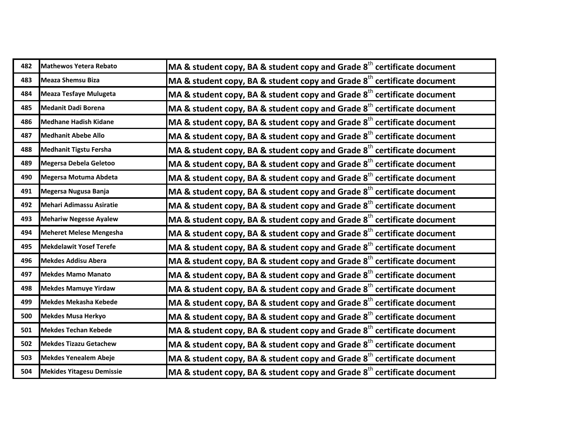| 482 | Mathewos Yetera Rebato           | MA & student copy, BA & student copy and Grade $8th$ certificate document           |
|-----|----------------------------------|-------------------------------------------------------------------------------------|
| 483 | <b>Meaza Shemsu Biza</b>         | MA & student copy, BA & student copy and Grade $8th$ certificate document           |
| 484 | <b>Meaza Tesfaye Mulugeta</b>    | MA & student copy, BA & student copy and Grade 8 <sup>th</sup> certificate document |
| 485 | <b>Medanit Dadi Borena</b>       | MA & student copy, BA & student copy and Grade $8th$ certificate document           |
| 486 | <b>Medhane Hadish Kidane</b>     | MA & student copy, BA & student copy and Grade $8th$ certificate document           |
| 487 | <b>Medhanit Abebe Allo</b>       | MA & student copy, BA & student copy and Grade $8th$ certificate document           |
| 488 | <b>Medhanit Tigstu Fersha</b>    | MA & student copy, BA & student copy and Grade $8th$ certificate document           |
| 489 | Megersa Debela Geletoo           | MA & student copy, BA & student copy and Grade $8th$ certificate document           |
| 490 | Megersa Motuma Abdeta            | MA & student copy, BA & student copy and Grade 8 <sup>th</sup> certificate document |
| 491 | Megersa Nugusa Banja             | MA & student copy, BA & student copy and Grade 8 <sup>th</sup> certificate document |
| 492 | <b>Mehari Adimassu Asiratie</b>  | MA & student copy, BA & student copy and Grade $8th$ certificate document           |
| 493 | <b>Mehariw Negesse Ayalew</b>    | MA & student copy, BA & student copy and Grade $8th$ certificate document           |
| 494 | <b>Meheret Melese Mengesha</b>   | MA & student copy, BA & student copy and Grade $8th$ certificate document           |
| 495 | <b>Mekdelawit Yosef Terefe</b>   | MA & student copy, BA & student copy and Grade $8th$ certificate document           |
| 496 | <b>Mekdes Addisu Abera</b>       | MA & student copy, BA & student copy and Grade $8th$ certificate document           |
| 497 | <b>Mekdes Mamo Manato</b>        | MA & student copy, BA & student copy and Grade $8th$ certificate document           |
| 498 | <b>Mekdes Mamuye Yirdaw</b>      | MA & student copy, BA & student copy and Grade $8th$ certificate document           |
| 499 | Mekdes Mekasha Kebede            | MA & student copy, BA & student copy and Grade $8th$ certificate document           |
| 500 | <b>Mekdes Musa Herkyo</b>        | MA & student copy, BA & student copy and Grade 8 <sup>th</sup> certificate document |
| 501 | <b>Mekdes Techan Kebede</b>      | MA & student copy, BA & student copy and Grade $8^{\text{th}}$ certificate document |
| 502 | <b>Mekdes Tizazu Getachew</b>    | MA & student copy, BA & student copy and Grade $8th$ certificate document           |
| 503 | <b>Mekdes Yenealem Abeje</b>     | MA & student copy, BA & student copy and Grade $8th$ certificate document           |
| 504 | <b>Mekides Yitagesu Demissie</b> | MA & student copy, BA & student copy and Grade $8^{\text{th}}$ certificate document |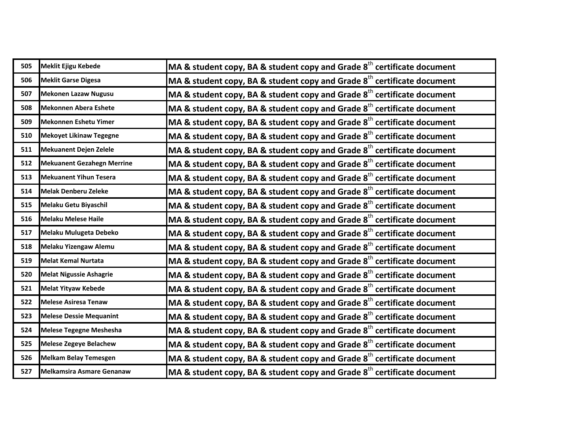| 505 | Meklit Ejigu Kebede               | MA & student copy, BA & student copy and Grade $8th$ certificate document           |
|-----|-----------------------------------|-------------------------------------------------------------------------------------|
| 506 | <b>Meklit Garse Digesa</b>        | MA & student copy, BA & student copy and Grade $8th$ certificate document           |
| 507 | Mekonen Lazaw Nugusu              | MA & student copy, BA & student copy and Grade $8th$ certificate document           |
| 508 | <b>Mekonnen Abera Eshete</b>      | MA & student copy, BA & student copy and Grade $8th$ certificate document           |
| 509 | Mekonnen Eshetu Yimer             | MA & student copy, BA & student copy and Grade $8th$ certificate document           |
| 510 | <b>Mekoyet Likinaw Tegegne</b>    | MA & student copy, BA & student copy and Grade $8th$ certificate document           |
| 511 | Mekuanent Dejen Zelele            | MA & student copy, BA & student copy and Grade $8th$ certificate document           |
| 512 | <b>Mekuanent Gezahegn Merrine</b> | MA & student copy, BA & student copy and Grade $8th$ certificate document           |
| 513 | <b>Mekuanent Yihun Tesera</b>     | MA & student copy, BA & student copy and Grade $8th$ certificate document           |
| 514 | <b>Melak Denberu Zeleke</b>       | MA & student copy, BA & student copy and Grade 8 <sup>th</sup> certificate document |
| 515 | Melaku Getu Biyaschil             | MA & student copy, BA & student copy and Grade 8 <sup>th</sup> certificate document |
| 516 | <b>Melaku Melese Haile</b>        | MA & student copy, BA & student copy and Grade $8th$ certificate document           |
| 517 | Melaku Mulugeta Debeko            | MA & student copy, BA & student copy and Grade $8th$ certificate document           |
| 518 | Melaku Yizengaw Alemu             | MA & student copy, BA & student copy and Grade 8 <sup>th</sup> certificate document |
| 519 | <b>Melat Kemal Nurtata</b>        | MA & student copy, BA & student copy and Grade $8th$ certificate document           |
| 520 | <b>Melat Nigussie Ashagrie</b>    | MA & student copy, BA & student copy and Grade $8th$ certificate document           |
| 521 | <b>Melat Yityaw Kebede</b>        | MA & student copy, BA & student copy and Grade $8th$ certificate document           |
| 522 | <b>Melese Asiresa Tenaw</b>       | MA & student copy, BA & student copy and Grade $8th$ certificate document           |
| 523 | <b>Melese Dessie Mequanint</b>    | MA & student copy, BA & student copy and Grade $8th$ certificate document           |
| 524 | <b>Melese Tegegne Meshesha</b>    | MA & student copy, BA & student copy and Grade 8 <sup>th</sup> certificate document |
| 525 | <b>Melese Zegeye Belachew</b>     | MA & student copy, BA & student copy and Grade $8th$ certificate document           |
| 526 | <b>Melkam Belay Temesgen</b>      | MA & student copy, BA & student copy and Grade $8th$ certificate document           |
| 527 | Melkamsira Asmare Genanaw         | MA & student copy, BA & student copy and Grade $8^{\text{th}}$ certificate document |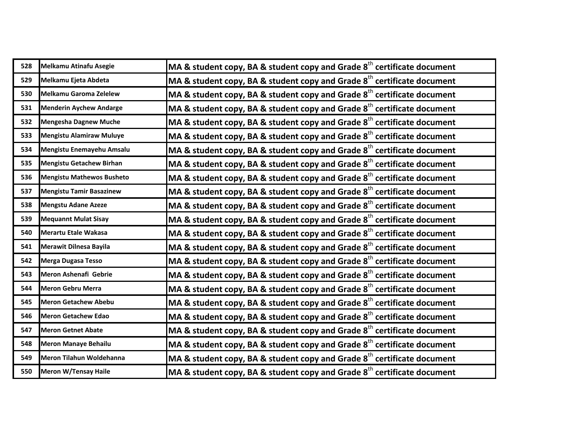| 528 | Melkamu Atinafu Asegie           | MA & student copy, BA & student copy and Grade $8th$ certificate document           |
|-----|----------------------------------|-------------------------------------------------------------------------------------|
| 529 | Melkamu Ejeta Abdeta             | MA & student copy, BA & student copy and Grade 8 <sup>th</sup> certificate document |
| 530 | Melkamu Garoma Zelelew           | MA & student copy, BA & student copy and Grade 8 <sup>th</sup> certificate document |
| 531 | <b>Menderin Aychew Andarge</b>   | MA & student copy, BA & student copy and Grade $8th$ certificate document           |
| 532 | <b>Mengesha Dagnew Muche</b>     | MA & student copy, BA & student copy and Grade $8th$ certificate document           |
| 533 | <b>Mengistu Alamiraw Muluye</b>  | MA & student copy, BA & student copy and Grade $8th$ certificate document           |
| 534 | Mengistu Enemayehu Amsalu        | MA & student copy, BA & student copy and Grade $8th$ certificate document           |
| 535 | <b>Mengistu Getachew Birhan</b>  | MA & student copy, BA & student copy and Grade $8th$ certificate document           |
| 536 | <b>Mengistu Mathewos Busheto</b> | MA & student copy, BA & student copy and Grade $8th$ certificate document           |
| 537 | <b>Mengistu Tamir Basazinew</b>  | MA & student copy, BA & student copy and Grade 8 <sup>th</sup> certificate document |
| 538 | <b>Mengstu Adane Azeze</b>       | MA & student copy, BA & student copy and Grade $8th$ certificate document           |
| 539 | <b>Mequannt Mulat Sisay</b>      | MA & student copy, BA & student copy and Grade $8th$ certificate document           |
| 540 | Merartu Etale Wakasa             | MA & student copy, BA & student copy and Grade $8th$ certificate document           |
| 541 | <b>Merawit Dilnesa Bayila</b>    | MA & student copy, BA & student copy and Grade $8th$ certificate document           |
| 542 | <b>Merga Dugasa Tesso</b>        | MA & student copy, BA & student copy and Grade $8th$ certificate document           |
| 543 | Meron Ashenafi Gebrie            | MA & student copy, BA & student copy and Grade $8th$ certificate document           |
| 544 | <b>Meron Gebru Merra</b>         | MA & student copy, BA & student copy and Grade $8th$ certificate document           |
| 545 | <b>Meron Getachew Abebu</b>      | MA & student copy, BA & student copy and Grade $8th$ certificate document           |
| 546 | <b>Meron Getachew Edao</b>       | MA & student copy, BA & student copy and Grade 8 <sup>th</sup> certificate document |
| 547 | <b>Meron Getnet Abate</b>        | MA & student copy, BA & student copy and Grade 8 <sup>th</sup> certificate document |
| 548 | <b>Meron Manaye Behailu</b>      | MA & student copy, BA & student copy and Grade $8th$ certificate document           |
| 549 | Meron Tilahun Woldehanna         | MA & student copy, BA & student copy and Grade $8th$ certificate document           |
| 550 | Meron W/Tensay Haile             | MA & student copy, BA & student copy and Grade $8^{\text{th}}$ certificate document |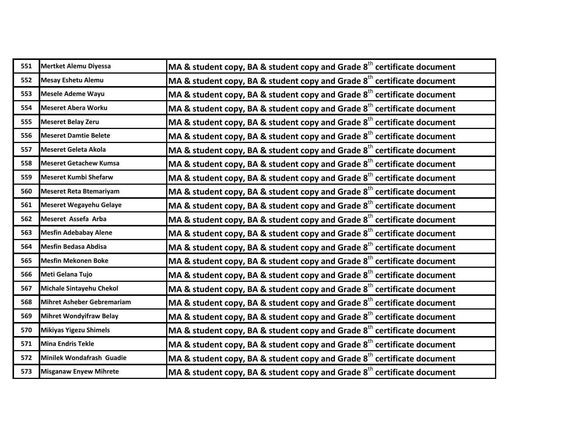| 551 | Mertket Alemu Diyessa          | MA & student copy, BA & student copy and Grade $8th$ certificate document           |
|-----|--------------------------------|-------------------------------------------------------------------------------------|
| 552 | <b>Mesay Eshetu Alemu</b>      | MA & student copy, BA & student copy and Grade $8th$ certificate document           |
| 553 | <b>Mesele Ademe Wayu</b>       | MA & student copy, BA & student copy and Grade $8th$ certificate document           |
| 554 | <b>Meseret Abera Worku</b>     | MA & student copy, BA & student copy and Grade $8th$ certificate document           |
| 555 | <b>Meseret Belay Zeru</b>      | MA & student copy, BA & student copy and Grade $8th$ certificate document           |
| 556 | <b>Meseret Damtie Belete</b>   | MA & student copy, BA & student copy and Grade $8th$ certificate document           |
| 557 | Meseret Geleta Akola           | MA & student copy, BA & student copy and Grade $8th$ certificate document           |
| 558 | <b>Meseret Getachew Kumsa</b>  | MA & student copy, BA & student copy and Grade $8th$ certificate document           |
| 559 | <b>Meseret Kumbi Shefarw</b>   | MA & student copy, BA & student copy and Grade $8th$ certificate document           |
| 560 | <b>Meseret Reta Btemariyam</b> | MA & student copy, BA & student copy and Grade $8th$ certificate document           |
| 561 | <b>Meseret Wegayehu Gelaye</b> | MA & student copy, BA & student copy and Grade $8th$ certificate document           |
| 562 | Meseret Assefa Arba            | MA & student copy, BA & student copy and Grade $8th$ certificate document           |
| 563 | <b>Mesfin Adebabay Alene</b>   | MA & student copy, BA & student copy and Grade $8th$ certificate document           |
| 564 | <b>Mesfin Bedasa Abdisa</b>    | MA & student copy, BA & student copy and Grade 8 <sup>th</sup> certificate document |
| 565 | <b>Mesfin Mekonen Boke</b>     | MA & student copy, BA & student copy and Grade $8th$ certificate document           |
| 566 | Meti Gelana Tujo               | MA & student copy, BA & student copy and Grade $8th$ certificate document           |
| 567 | Michale Sintayehu Chekol       | MA & student copy, BA & student copy and Grade $8th$ certificate document           |
| 568 | Mihret Asheber Gebremariam     | MA & student copy, BA & student copy and Grade $8th$ certificate document           |
| 569 | <b>Mihret Wondyifraw Belay</b> | MA & student copy, BA & student copy and Grade 8 <sup>th</sup> certificate document |
| 570 | <b>Mikiyas Yigezu Shimels</b>  | MA & student copy, BA & student copy and Grade $8th$ certificate document           |
| 571 | <b>Mina Endris Tekle</b>       | MA & student copy, BA & student copy and Grade $8th$ certificate document           |
| 572 | Minilek Wondafrash Guadie      | MA & student copy, BA & student copy and Grade $8th$ certificate document           |
| 573 | <b>Misganaw Enyew Mihrete</b>  | MA & student copy, BA & student copy and Grade 8 <sup>th</sup> certificate document |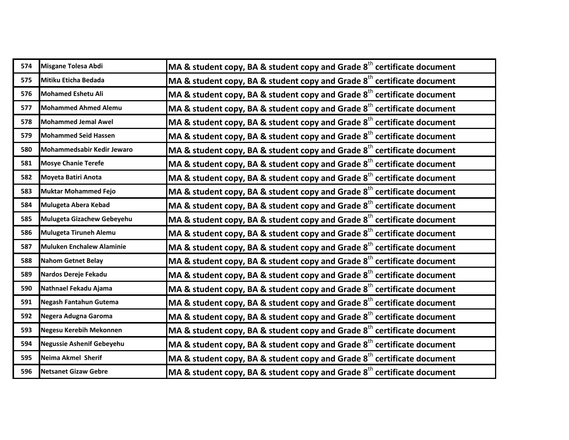| 574 | Misgane Tolesa Abdi              | MA & student copy, BA & student copy and Grade $8th$ certificate document           |
|-----|----------------------------------|-------------------------------------------------------------------------------------|
| 575 | Mitiku Eticha Bedada             | MA & student copy, BA & student copy and Grade 8 <sup>th</sup> certificate document |
| 576 | <b>Mohamed Eshetu Ali</b>        | MA & student copy, BA & student copy and Grade 8 <sup>th</sup> certificate document |
| 577 | <b>Mohammed Ahmed Alemu</b>      | MA & student copy, BA & student copy and Grade $8th$ certificate document           |
| 578 | <b>Mohammed Jemal Awel</b>       | MA & student copy, BA & student copy and Grade 8 <sup>th</sup> certificate document |
| 579 | <b>Mohammed Seid Hassen</b>      | MA & student copy, BA & student copy and Grade $8th$ certificate document           |
| 580 | Mohammedsabir Kedir Jewaro       | MA & student copy, BA & student copy and Grade 8 <sup>th</sup> certificate document |
| 581 | <b>Mosye Chanie Terefe</b>       | MA & student copy, BA & student copy and Grade $8th$ certificate document           |
| 582 | <b>Moyeta Batiri Anota</b>       | MA & student copy, BA & student copy and Grade 8 <sup>th</sup> certificate document |
| 583 | <b>Muktar Mohammed Fejo</b>      | MA & student copy, BA & student copy and Grade $8th$ certificate document           |
| 584 | Mulugeta Abera Kebad             | MA & student copy, BA & student copy and Grade 8 <sup>th</sup> certificate document |
| 585 | Mulugeta Gizachew Gebeyehu       | MA & student copy, BA & student copy and Grade $8th$ certificate document           |
| 586 | Mulugeta Tiruneh Alemu           | MA & student copy, BA & student copy and Grade 8 <sup>th</sup> certificate document |
| 587 | <b>Muluken Enchalew Alaminie</b> | MA & student copy, BA & student copy and Grade $8th$ certificate document           |
| 588 | <b>Nahom Getnet Belay</b>        | MA & student copy, BA & student copy and Grade $8th$ certificate document           |
| 589 | Nardos Dereje Fekadu             | MA & student copy, BA & student copy and Grade 8 <sup>th</sup> certificate document |
| 590 | Nathnael Fekadu Ajama            | MA & student copy, BA & student copy and Grade $8th$ certificate document           |
| 591 | Negash Fantahun Gutema           | MA & student copy, BA & student copy and Grade 8 <sup>th</sup> certificate document |
| 592 | Negera Adugna Garoma             | MA & student copy, BA & student copy and Grade 8 <sup>th</sup> certificate document |
| 593 | Negesu Kerebih Mekonnen          | MA & student copy, BA & student copy and Grade 8 <sup>th</sup> certificate document |
| 594 | <b>Negussie Ashenif Gebeyehu</b> | MA & student copy, BA & student copy and Grade $8th$ certificate document           |
| 595 | Neima Akmel Sherif               | MA & student copy, BA & student copy and Grade 8 <sup>th</sup> certificate document |
| 596 | <b>Netsanet Gizaw Gebre</b>      | MA & student copy, BA & student copy and Grade $8^{th}$ certificate document        |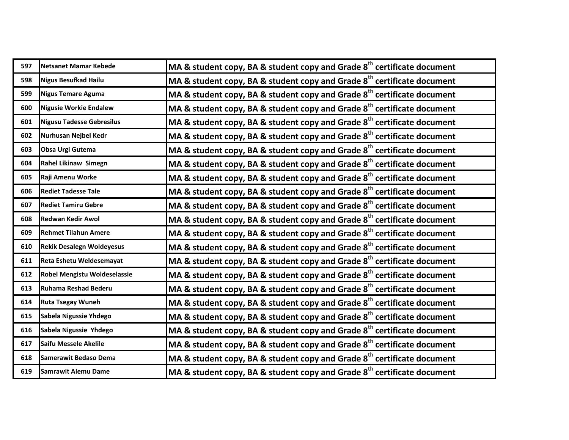| 597 | Netsanet Mamar Kebede            | MA & student copy, BA & student copy and Grade $8th$ certificate document           |
|-----|----------------------------------|-------------------------------------------------------------------------------------|
| 598 | <b>Nigus Besufkad Hailu</b>      | MA & student copy, BA & student copy and Grade $8th$ certificate document           |
| 599 | Nigus Temare Aguma               | MA & student copy, BA & student copy and Grade $8th$ certificate document           |
| 600 | <b>Nigusie Workie Endalew</b>    | MA & student copy, BA & student copy and Grade $8th$ certificate document           |
| 601 | <b>Nigusu Tadesse Gebresilus</b> | MA & student copy, BA & student copy and Grade $8th$ certificate document           |
| 602 | Nurhusan Nejbel Kedr             | MA & student copy, BA & student copy and Grade $8th$ certificate document           |
| 603 | <b>Obsa Urgi Gutema</b>          | MA & student copy, BA & student copy and Grade $8th$ certificate document           |
| 604 | Rahel Likinaw Simegn             | MA & student copy, BA & student copy and Grade $8th$ certificate document           |
| 605 | Raji Amenu Worke                 | MA & student copy, BA & student copy and Grade 8 <sup>th</sup> certificate document |
| 606 | <b>Rediet Tadesse Tale</b>       | MA & student copy, BA & student copy and Grade 8 <sup>th</sup> certificate document |
| 607 | <b>Rediet Tamiru Gebre</b>       | MA & student copy, BA & student copy and Grade $8th$ certificate document           |
| 608 | <b>Redwan Kedir Awol</b>         | MA & student copy, BA & student copy and Grade 8 <sup>th</sup> certificate document |
| 609 | <b>Rehmet Tilahun Amere</b>      | MA & student copy, BA & student copy and Grade $8th$ certificate document           |
| 610 | <b>Rekik Desalegn Woldeyesus</b> | MA & student copy, BA & student copy and Grade $8th$ certificate document           |
| 611 | Reta Eshetu Weldesemayat         | MA & student copy, BA & student copy and Grade $8th$ certificate document           |
| 612 | Robel Mengistu Woldeselassie     | MA & student copy, BA & student copy and Grade $8th$ certificate document           |
| 613 | Ruhama Reshad Bederu             | MA & student copy, BA & student copy and Grade $8th$ certificate document           |
| 614 | <b>Ruta Tsegay Wuneh</b>         | MA & student copy, BA & student copy and Grade $8th$ certificate document           |
| 615 | Sabela Nigussie Yhdego           | MA & student copy, BA & student copy and Grade $8th$ certificate document           |
| 616 | Sabela Nigussie Yhdego           | MA & student copy, BA & student copy and Grade $8th$ certificate document           |
| 617 | Saifu Messele Akelile            | MA & student copy, BA & student copy and Grade $8th$ certificate document           |
| 618 | Samerawit Bedaso Dema            | MA & student copy, BA & student copy and Grade $8th$ certificate document           |
| 619 | Samrawit Alemu Dame              | MA & student copy, BA & student copy and Grade $8^{\text{th}}$ certificate document |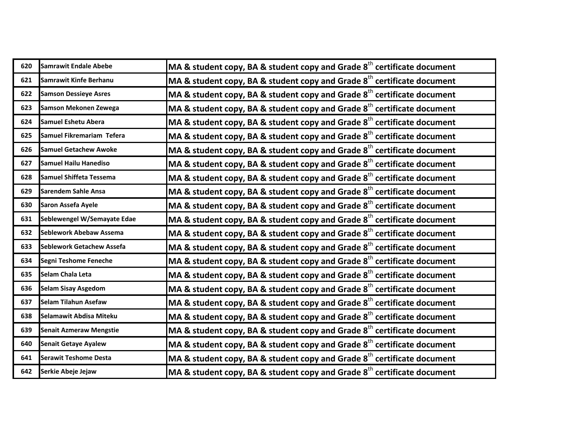| 620 | Samrawit Endale Abebe            | MA & student copy, BA & student copy and Grade $8th$ certificate document           |
|-----|----------------------------------|-------------------------------------------------------------------------------------|
| 621 | Samrawit Kinfe Berhanu           | MA & student copy, BA & student copy and Grade $8th$ certificate document           |
| 622 | <b>Samson Dessieye Asres</b>     | MA & student copy, BA & student copy and Grade 8 <sup>th</sup> certificate document |
| 623 | Samson Mekonen Zewega            | MA & student copy, BA & student copy and Grade $8th$ certificate document           |
| 624 | Samuel Eshetu Abera              | MA & student copy, BA & student copy and Grade $8th$ certificate document           |
| 625 | Samuel Fikremariam Tefera        | MA & student copy, BA & student copy and Grade 8 <sup>th</sup> certificate document |
| 626 | <b>Samuel Getachew Awoke</b>     | MA & student copy, BA & student copy and Grade $8th$ certificate document           |
| 627 | <b>Samuel Hailu Hanediso</b>     | MA & student copy, BA & student copy and Grade $8th$ certificate document           |
| 628 | <b>Samuel Shiffeta Tessema</b>   | MA & student copy, BA & student copy and Grade 8 <sup>th</sup> certificate document |
| 629 | <b>Sarendem Sahle Ansa</b>       | MA & student copy, BA & student copy and Grade $8th$ certificate document           |
| 630 | Saron Assefa Ayele               | MA & student copy, BA & student copy and Grade $8th$ certificate document           |
| 631 | Seblewengel W/Semayate Edae      | MA & student copy, BA & student copy and Grade 8 <sup>th</sup> certificate document |
| 632 | Seblework Abebaw Assema          | MA & student copy, BA & student copy and Grade $8th$ certificate document           |
| 633 | <b>Seblework Getachew Assefa</b> | MA & student copy, BA & student copy and Grade $8th$ certificate document           |
| 634 | Segni Teshome Feneche            | MA & student copy, BA & student copy and Grade $8th$ certificate document           |
| 635 | Selam Chala Leta                 | MA & student copy, BA & student copy and Grade $8th$ certificate document           |
| 636 | <b>Selam Sisay Asgedom</b>       | MA & student copy, BA & student copy and Grade $8th$ certificate document           |
| 637 | Selam Tilahun Asefaw             | MA & student copy, BA & student copy and Grade $8th$ certificate document           |
| 638 | Selamawit Abdisa Miteku          | MA & student copy, BA & student copy and Grade 8 <sup>th</sup> certificate document |
| 639 | <b>Senait Azmeraw Mengstie</b>   | MA & student copy, BA & student copy and Grade 8 <sup>th</sup> certificate document |
| 640 | <b>Senait Getaye Ayalew</b>      | MA & student copy, BA & student copy and Grade $8th$ certificate document           |
| 641 | <b>Serawit Teshome Desta</b>     | MA & student copy, BA & student copy and Grade $8th$ certificate document           |
| 642 | Serkie Abeje Jejaw               | MA & student copy, BA & student copy and Grade $8^{\text{th}}$ certificate document |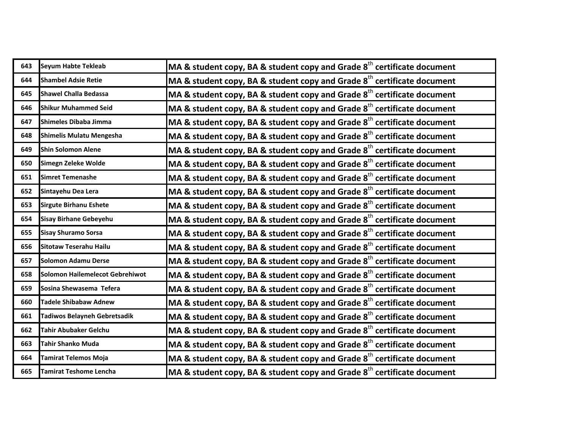| 643 | <b>Seyum Habte Tekleab</b>      | MA & student copy, BA & student copy and Grade $8th$ certificate document           |
|-----|---------------------------------|-------------------------------------------------------------------------------------|
| 644 | <b>Shambel Adsie Retie</b>      |                                                                                     |
|     |                                 | MA & student copy, BA & student copy and Grade $8th$ certificate document           |
| 645 | <b>Shawel Challa Bedassa</b>    | MA & student copy, BA & student copy and Grade 8 <sup>th</sup> certificate document |
| 646 | <b>Shikur Muhammed Seid</b>     | MA & student copy, BA & student copy and Grade $8th$ certificate document           |
| 647 | Shimeles Dibaba Jimma           | MA & student copy, BA & student copy and Grade $8th$ certificate document           |
| 648 | <b>Shimelis Mulatu Mengesha</b> | MA & student copy, BA & student copy and Grade 8 <sup>th</sup> certificate document |
| 649 | <b>Shin Solomon Alene</b>       | MA & student copy, BA & student copy and Grade $8th$ certificate document           |
| 650 | Simegn Zeleke Wolde             | MA & student copy, BA & student copy and Grade $8th$ certificate document           |
| 651 | <b>Simret Temenashe</b>         | MA & student copy, BA & student copy and Grade 8 <sup>th</sup> certificate document |
| 652 | Sintayehu Dea Lera              | MA & student copy, BA & student copy and Grade 8 <sup>th</sup> certificate document |
| 653 | <b>Sirgute Birhanu Eshete</b>   | MA & student copy, BA & student copy and Grade 8 <sup>th</sup> certificate document |
| 654 | Sisay Birhane Gebeyehu          | MA & student copy, BA & student copy and Grade $8th$ certificate document           |
| 655 | <b>Sisay Shuramo Sorsa</b>      | MA & student copy, BA & student copy and Grade 8 <sup>th</sup> certificate document |
| 656 | <b>Sitotaw Teserahu Hailu</b>   | MA & student copy, BA & student copy and Grade 8 <sup>th</sup> certificate document |
| 657 | <b>Solomon Adamu Derse</b>      | MA & student copy, BA & student copy and Grade $8th$ certificate document           |
| 658 | Solomon Hailemelecot Gebrehiwot | MA & student copy, BA & student copy and Grade $8th$ certificate document           |
| 659 | Sosina Shewasema Tefera         | MA & student copy, BA & student copy and Grade $8th$ certificate document           |
| 660 | <b>Tadele Shibabaw Adnew</b>    | MA & student copy, BA & student copy and Grade $8th$ certificate document           |
| 661 | Tadiwos Belayneh Gebretsadik    | MA & student copy, BA & student copy and Grade $8th$ certificate document           |
| 662 | <b>Tahir Abubaker Gelchu</b>    | MA & student copy, BA & student copy and Grade 8 <sup>th</sup> certificate document |
| 663 | <b>Tahir Shanko Muda</b>        | MA & student copy, BA & student copy and Grade $8^{th}$ certificate document        |
| 664 | <b>Tamirat Telemos Moja</b>     | MA & student copy, BA & student copy and Grade $8th$ certificate document           |
| 665 | <b>Tamirat Teshome Lencha</b>   | MA & student copy, BA & student copy and Grade $8^{\text{th}}$ certificate document |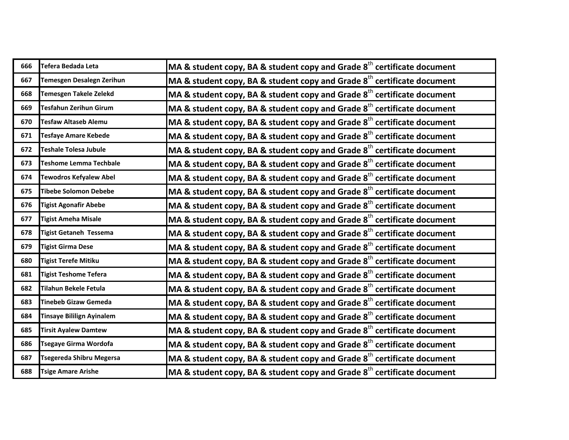| 666 | Tefera Bedada Leta               | MA & student copy, BA & student copy and Grade $8th$ certificate document           |
|-----|----------------------------------|-------------------------------------------------------------------------------------|
| 667 | Temesgen Desalegn Zerihun        | MA & student copy, BA & student copy and Grade $8th$ certificate document           |
| 668 | <b>Temesgen Takele Zelekd</b>    | MA & student copy, BA & student copy and Grade $8th$ certificate document           |
| 669 | <b>Tesfahun Zerihun Girum</b>    | MA & student copy, BA & student copy and Grade $8th$ certificate document           |
| 670 | <b>Tesfaw Altaseb Alemu</b>      | MA & student copy, BA & student copy and Grade $8th$ certificate document           |
| 671 | <b>Tesfaye Amare Kebede</b>      | MA & student copy, BA & student copy and Grade $8th$ certificate document           |
| 672 | <b>Teshale Tolesa Jubule</b>     | MA & student copy, BA & student copy and Grade $8th$ certificate document           |
| 673 | Teshome Lemma Techbale           | MA & student copy, BA & student copy and Grade $8th$ certificate document           |
| 674 | <b>Tewodros Kefyalew Abel</b>    | MA & student copy, BA & student copy and Grade $8th$ certificate document           |
| 675 | <b>Tibebe Solomon Debebe</b>     | MA & student copy, BA & student copy and Grade $8th$ certificate document           |
| 676 | <b>Tigist Agonafir Abebe</b>     | MA & student copy, BA & student copy and Grade 8 <sup>th</sup> certificate document |
| 677 | <b>Tigist Ameha Misale</b>       | MA & student copy, BA & student copy and Grade $8th$ certificate document           |
| 678 | <b>Tigist Getaneh Tessema</b>    | MA & student copy, BA & student copy and Grade $8th$ certificate document           |
| 679 | <b>Tigist Girma Dese</b>         | MA & student copy, BA & student copy and Grade 8 <sup>th</sup> certificate document |
| 680 | <b>Tigist Terefe Mitiku</b>      | MA & student copy, BA & student copy and Grade $8th$ certificate document           |
| 681 | <b>Tigist Teshome Tefera</b>     | MA & student copy, BA & student copy and Grade $8th$ certificate document           |
| 682 | <b>Tilahun Bekele Fetula</b>     | MA & student copy, BA & student copy and Grade $8th$ certificate document           |
| 683 | <b>Tinebeb Gizaw Gemeda</b>      | MA & student copy, BA & student copy and Grade $8th$ certificate document           |
| 684 | <b>Tinsaye Bililign Ayinalem</b> | MA & student copy, BA & student copy and Grade $8th$ certificate document           |
| 685 | <b>Tirsit Ayalew Damtew</b>      | MA & student copy, BA & student copy and Grade 8 <sup>th</sup> certificate document |
| 686 | <b>Tsegaye Girma Wordofa</b>     | MA & student copy, BA & student copy and Grade $8th$ certificate document           |
| 687 | <b>Tsegereda Shibru Megersa</b>  | MA & student copy, BA & student copy and Grade $8th$ certificate document           |
| 688 | <b>Tsige Amare Arishe</b>        | MA & student copy, BA & student copy and Grade $8^{\text{th}}$ certificate document |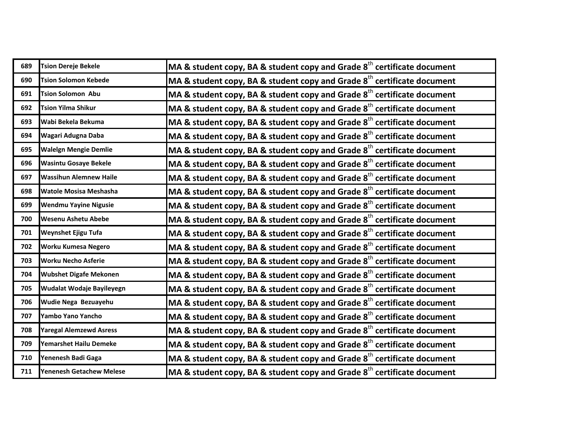| 689 | <b>Tsion Dereje Bekele</b>      | MA & student copy, BA & student copy and Grade $8th$ certificate document           |
|-----|---------------------------------|-------------------------------------------------------------------------------------|
| 690 | <b>Tsion Solomon Kebede</b>     | MA & student copy, BA & student copy and Grade $8th$ certificate document           |
| 691 | <b>Tsion Solomon Abu</b>        | MA & student copy, BA & student copy and Grade $8th$ certificate document           |
| 692 | <b>Tsion Yilma Shikur</b>       | MA & student copy, BA & student copy and Grade $8th$ certificate document           |
| 693 | Wabi Bekela Bekuma              | MA & student copy, BA & student copy and Grade $8th$ certificate document           |
| 694 | Wagari Adugna Daba              | MA & student copy, BA & student copy and Grade $8th$ certificate document           |
| 695 | <b>Walelgn Mengie Demlie</b>    | MA & student copy, BA & student copy and Grade $8th$ certificate document           |
| 696 | <b>Wasintu Gosaye Bekele</b>    | MA & student copy, BA & student copy and Grade $8th$ certificate document           |
| 697 | <b>Wassihun Alemnew Haile</b>   | MA & student copy, BA & student copy and Grade $8th$ certificate document           |
| 698 | <b>Watole Mosisa Meshasha</b>   | MA & student copy, BA & student copy and Grade $8th$ certificate document           |
| 699 | <b>Wendmu Yayine Nigusie</b>    | MA & student copy, BA & student copy and Grade 8 <sup>th</sup> certificate document |
| 700 | <b>Wesenu Ashetu Abebe</b>      | MA & student copy, BA & student copy and Grade $8th$ certificate document           |
| 701 | Weynshet Ejigu Tufa             | MA & student copy, BA & student copy and Grade $8th$ certificate document           |
| 702 | Worku Kumesa Negero             | MA & student copy, BA & student copy and Grade 8 <sup>th</sup> certificate document |
| 703 | <b>Worku Necho Asferie</b>      | MA & student copy, BA & student copy and Grade $8th$ certificate document           |
| 704 | <b>Wubshet Digafe Mekonen</b>   | MA & student copy, BA & student copy and Grade $8th$ certificate document           |
| 705 | Wudalat Wodaje Bayileyegn       | MA & student copy, BA & student copy and Grade $8th$ certificate document           |
| 706 | Wudie Nega Bezuayehu            | MA & student copy, BA & student copy and Grade $8th$ certificate document           |
| 707 | Yambo Yano Yancho               | MA & student copy, BA & student copy and Grade $8th$ certificate document           |
| 708 | <b>Yaregal Alemzewd Asress</b>  | MA & student copy, BA & student copy and Grade $8th$ certificate document           |
| 709 | Yemarshet Hailu Demeke          | MA & student copy, BA & student copy and Grade 8 <sup>th</sup> certificate document |
| 710 | Yenenesh Badi Gaga              | MA & student copy, BA & student copy and Grade $8th$ certificate document           |
| 711 | <b>Yenenesh Getachew Melese</b> | MA & student copy, BA & student copy and Grade $8^{\text{th}}$ certificate document |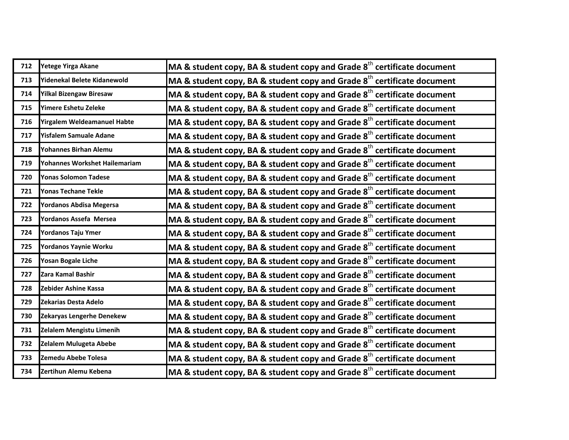| 712 | Yetege Yirga Akane             | MA & student copy, BA & student copy and Grade $8th$ certificate document           |
|-----|--------------------------------|-------------------------------------------------------------------------------------|
| 713 | Yidenekal Belete Kidanewold    | MA & student copy, BA & student copy and Grade $8th$ certificate document           |
| 714 | <b>Yilkal Bizengaw Biresaw</b> | MA & student copy, BA & student copy and Grade 8 <sup>th</sup> certificate document |
| 715 | Yimere Eshetu Zeleke           | MA & student copy, BA & student copy and Grade $8th$ certificate document           |
| 716 | Yirgalem Weldeamanuel Habte    | MA & student copy, BA & student copy and Grade $8th$ certificate document           |
| 717 | <b>Yisfalem Samuale Adane</b>  | MA & student copy, BA & student copy and Grade $8th$ certificate document           |
| 718 | Yohannes Birhan Alemu          | MA & student copy, BA & student copy and Grade $8th$ certificate document           |
| 719 | Yohannes Workshet Hailemariam  | MA & student copy, BA & student copy and Grade $8th$ certificate document           |
| 720 | <b>Yonas Solomon Tadese</b>    | MA & student copy, BA & student copy and Grade 8 <sup>th</sup> certificate document |
| 721 | Yonas Techane Tekle            | MA & student copy, BA & student copy and Grade 8 <sup>th</sup> certificate document |
| 722 | <b>Yordanos Abdisa Megersa</b> | MA & student copy, BA & student copy and Grade $8th$ certificate document           |
| 723 | Yordanos Assefa Mersea         | MA & student copy, BA & student copy and Grade 8 <sup>th</sup> certificate document |
| 724 | Yordanos Taju Ymer             | MA & student copy, BA & student copy and Grade $8th$ certificate document           |
| 725 | Yordanos Yaynie Worku          | MA & student copy, BA & student copy and Grade $8th$ certificate document           |
| 726 | Yosan Bogale Liche             | MA & student copy, BA & student copy and Grade $8th$ certificate document           |
| 727 | Zara Kamal Bashir              | MA & student copy, BA & student copy and Grade $8th$ certificate document           |
| 728 | Zebider Ashine Kassa           | MA & student copy, BA & student copy and Grade $8th$ certificate document           |
| 729 | Zekarias Desta Adelo           | MA & student copy, BA & student copy and Grade $8th$ certificate document           |
| 730 | Zekaryas Lengerhe Denekew      | MA & student copy, BA & student copy and Grade 8 <sup>th</sup> certificate document |
| 731 | Zelalem Mengistu Limenih       | MA & student copy, BA & student copy and Grade 8 <sup>th</sup> certificate document |
| 732 | <b>Zelalem Mulugeta Abebe</b>  | MA & student copy, BA & student copy and Grade $8th$ certificate document           |
| 733 | Zemedu Abebe Tolesa            | MA & student copy, BA & student copy and Grade $8th$ certificate document           |
| 734 | Zertihun Alemu Kebena          | MA & student copy, BA & student copy and Grade $8^{\text{th}}$ certificate document |